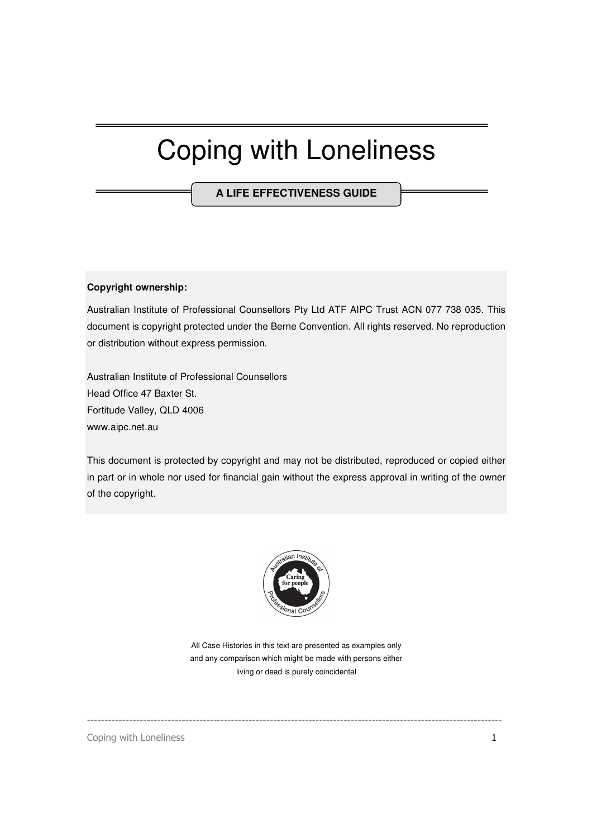## Coping with Loneliness

**A LIFE EFFECTIVENESS GUIDE**

#### **Copyright ownership:**

Australian Institute of Professional Counsellors Pty Ltd ATF AIPC Trust ACN 077 738 035. This document is copyright protected under the Berne Convention. All rights reserved. No reproduction or distribution without express permission.

Australian Institute of Professional Counsellors Head Office 47 Baxter St. Fortitude Valley, QLD 4006 www.aipc.net.au

This document is protected by copyright and may not be distributed, reproduced or copied either in part or in whole nor used for financial gain without the express approval in writing of the owner of the copyright.



All Case Histories in this text are presented as examples only and any comparison which might be made with persons either living or dead is purely coincidental

----------------------------------------------------------------------------------------------------------------------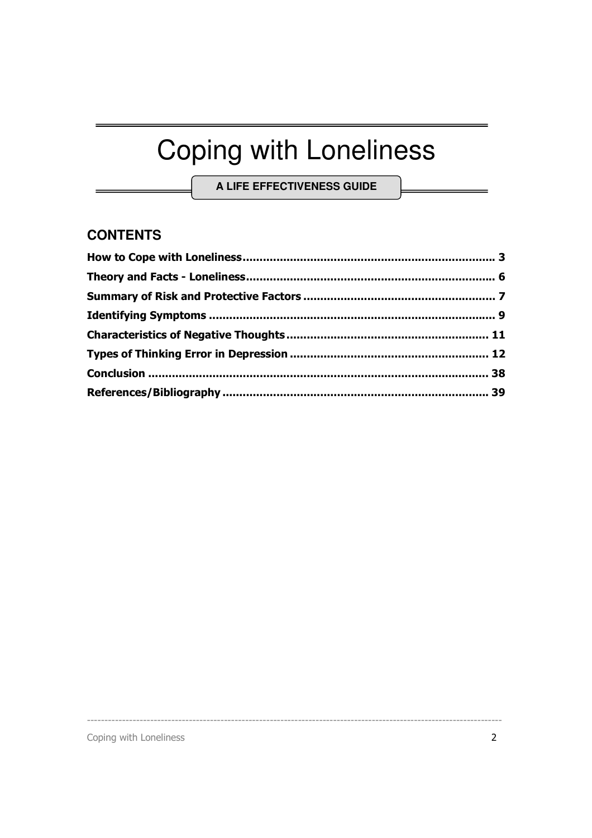# **Coping with Loneliness**

A LIFE EFFECTIVENESS GUIDE

## **CONTENTS**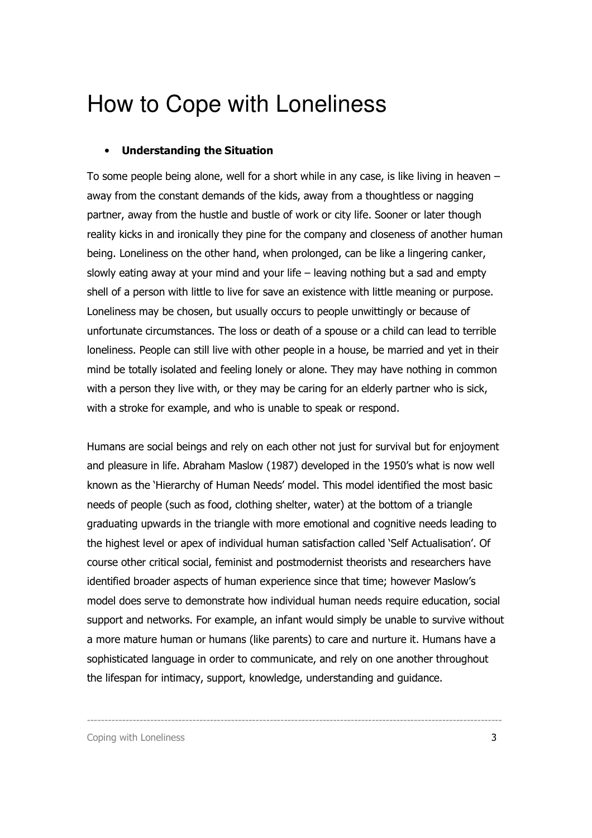## How to Cope with Loneliness

### • Understanding the Situation

To some people being alone, well for a short while in any case, is like living in heaven – away from the constant demands of the kids, away from a thoughtless or nagging partner, away from the hustle and bustle of work or city life. Sooner or later though reality kicks in and ironically they pine for the company and closeness of another human being. Loneliness on the other hand, when prolonged, can be like a lingering canker, slowly eating away at your mind and your life – leaving nothing but a sad and empty shell of a person with little to live for save an existence with little meaning or purpose. Loneliness may be chosen, but usually occurs to people unwittingly or because of unfortunate circumstances. The loss or death of a spouse or a child can lead to terrible loneliness. People can still live with other people in a house, be married and yet in their mind be totally isolated and feeling lonely or alone. They may have nothing in common with a person they live with, or they may be caring for an elderly partner who is sick, with a stroke for example, and who is unable to speak or respond.

Humans are social beings and rely on each other not just for survival but for enjoyment and pleasure in life. Abraham Maslow (1987) developed in the 1950's what is now well known as the 'Hierarchy of Human Needs' model. This model identified the most basic needs of people (such as food, clothing shelter, water) at the bottom of a triangle graduating upwards in the triangle with more emotional and cognitive needs leading to the highest level or apex of individual human satisfaction called 'Self Actualisation'. Of course other critical social, feminist and postmodernist theorists and researchers have identified broader aspects of human experience since that time; however Maslow's model does serve to demonstrate how individual human needs require education, social support and networks. For example, an infant would simply be unable to survive without a more mature human or humans (like parents) to care and nurture it. Humans have a sophisticated language in order to communicate, and rely on one another throughout the lifespan for intimacy, support, knowledge, understanding and guidance.

----------------------------------------------------------------------------------------------------------------------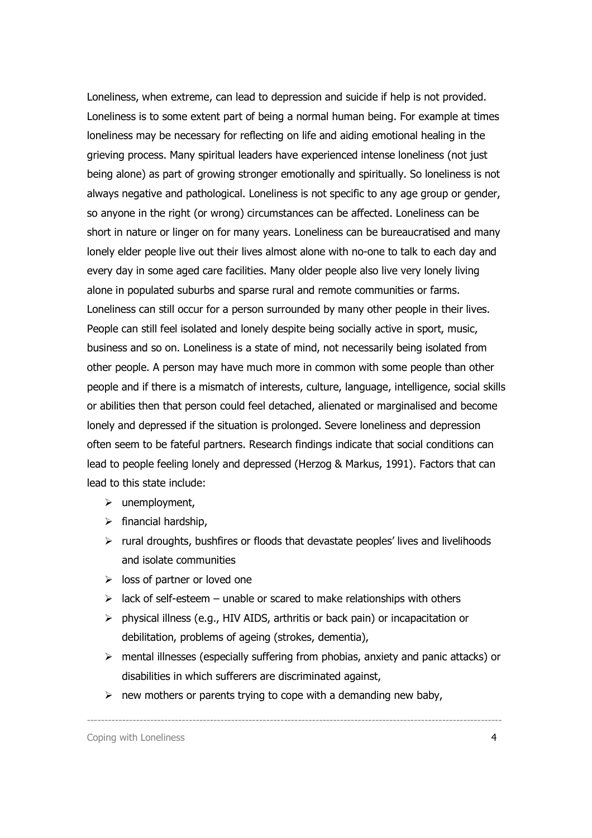Loneliness, when extreme, can lead to depression and suicide if help is not provided. Loneliness is to some extent part of being a normal human being. For example at times loneliness may be necessary for reflecting on life and aiding emotional healing in the grieving process. Many spiritual leaders have experienced intense loneliness (not just being alone) as part of growing stronger emotionally and spiritually. So loneliness is not always negative and pathological. Loneliness is not specific to any age group or gender, so anyone in the right (or wrong) circumstances can be affected. Loneliness can be short in nature or linger on for many years. Loneliness can be bureaucratised and many lonely elder people live out their lives almost alone with no-one to talk to each day and every day in some aged care facilities. Many older people also live very lonely living alone in populated suburbs and sparse rural and remote communities or farms. Loneliness can still occur for a person surrounded by many other people in their lives. People can still feel isolated and lonely despite being socially active in sport, music, business and so on. Loneliness is a state of mind, not necessarily being isolated from other people. A person may have much more in common with some people than other people and if there is a mismatch of interests, culture, language, intelligence, social skills or abilities then that person could feel detached, alienated or marginalised and become lonely and depressed if the situation is prolonged. Severe loneliness and depression often seem to be fateful partners. Research findings indicate that social conditions can lead to people feeling lonely and depressed (Herzog & Markus, 1991). Factors that can lead to this state include:

- $\triangleright$  unemployment,
- $\triangleright$  financial hardship,
- $\triangleright$  rural droughts, bushfires or floods that devastate peoples' lives and livelihoods and isolate communities
- $\triangleright$  loss of partner or loved one
- $\triangleright$  lack of self-esteem unable or scared to make relationships with others
- $\triangleright$  physical illness (e.g., HIV AIDS, arthritis or back pain) or incapacitation or debilitation, problems of ageing (strokes, dementia),
- $\triangleright$  mental illnesses (especially suffering from phobias, anxiety and panic attacks) or disabilities in which sufferers are discriminated against,

----------------------------------------------------------------------------------------------------------------------

 $\triangleright$  new mothers or parents trying to cope with a demanding new baby,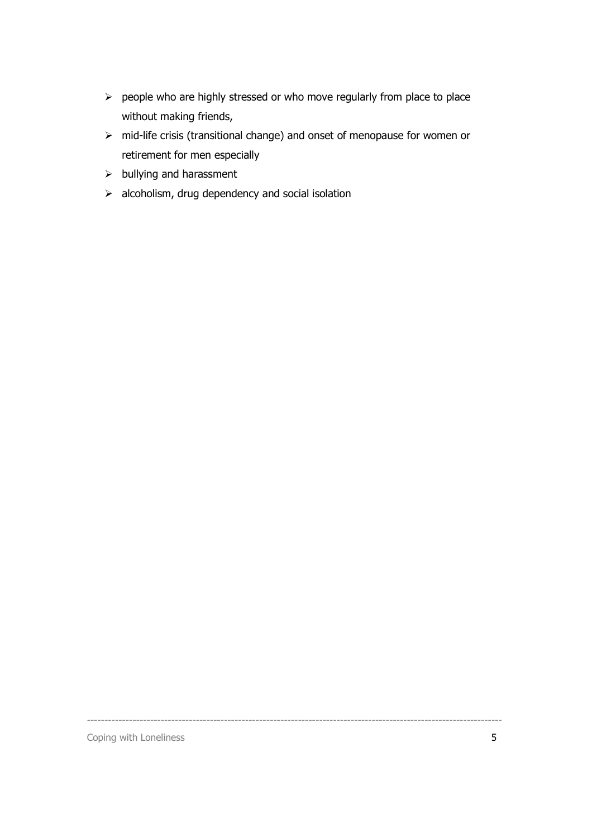- $\triangleright$  people who are highly stressed or who move regularly from place to place without making friends,
- mid-life crisis (transitional change) and onset of menopause for women or retirement for men especially

----------------------------------------------------------------------------------------------------------------------

- $\blacktriangleright$  bullying and harassment
- $\triangleright$  alcoholism, drug dependency and social isolation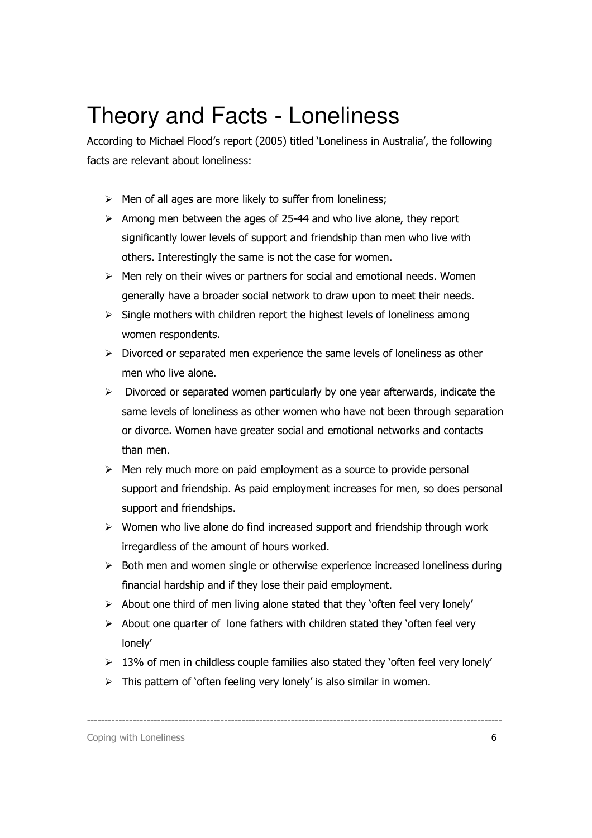## Theory and Facts - Loneliness

According to Michael Flood's report (2005) titled 'Loneliness in Australia', the following facts are relevant about loneliness:

- $\triangleright$  Men of all ages are more likely to suffer from loneliness;
- $\triangleright$  Among men between the ages of 25-44 and who live alone, they report significantly lower levels of support and friendship than men who live with others. Interestingly the same is not the case for women.
- $\triangleright$  Men rely on their wives or partners for social and emotional needs. Women generally have a broader social network to draw upon to meet their needs.
- $\triangleright$  Single mothers with children report the highest levels of loneliness among women respondents.
- $\triangleright$  Divorced or separated men experience the same levels of loneliness as other men who live alone.
- $\triangleright$  Divorced or separated women particularly by one year afterwards, indicate the same levels of loneliness as other women who have not been through separation or divorce. Women have greater social and emotional networks and contacts than men.
- $\triangleright$  Men rely much more on paid employment as a source to provide personal support and friendship. As paid employment increases for men, so does personal support and friendships.
- $\triangleright$  Women who live alone do find increased support and friendship through work irregardless of the amount of hours worked.
- $\triangleright$  Both men and women single or otherwise experience increased loneliness during financial hardship and if they lose their paid employment.
- $\triangleright$  About one third of men living alone stated that they 'often feel very lonely'
- $\triangleright$  About one quarter of lone fathers with children stated they 'often feel very lonely'
- $\geq 13\%$  of men in childless couple families also stated they 'often feel very lonely'

----------------------------------------------------------------------------------------------------------------------

 $\triangleright$  This pattern of 'often feeling very lonely' is also similar in women.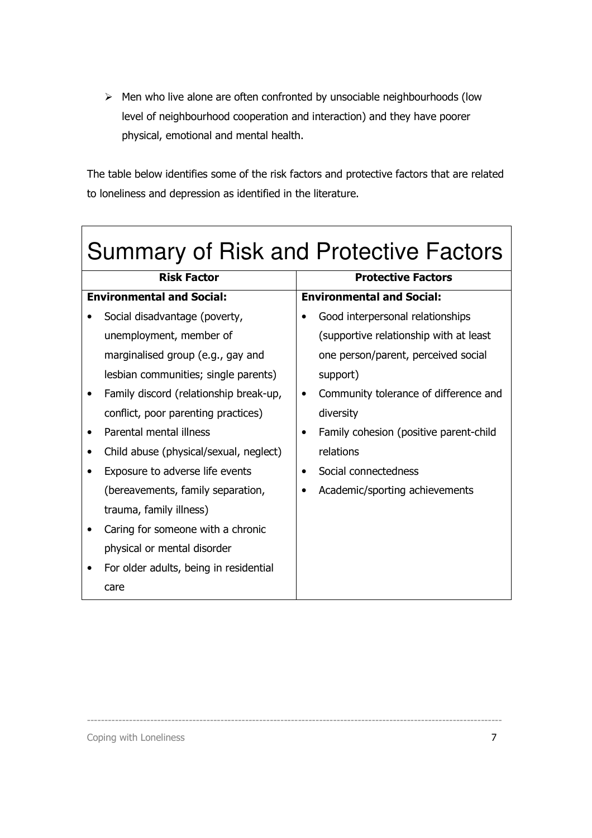$\triangleright$  Men who live alone are often confronted by unsociable neighbourhoods (low level of neighbourhood cooperation and interaction) and they have poorer physical, emotional and mental health.

The table below identifies some of the risk factors and protective factors that are related to loneliness and depression as identified in the literature.

| <b>Summary of Risk and Protective Factors</b> |           |                                         |
|-----------------------------------------------|-----------|-----------------------------------------|
| <b>Risk Factor</b>                            |           | <b>Protective Factors</b>               |
| <b>Environmental and Social:</b>              |           | <b>Environmental and Social:</b>        |
| Social disadvantage (poverty,                 |           | Good interpersonal relationships        |
| unemployment, member of                       |           | (supportive relationship with at least) |
| marginalised group (e.g., gay and             |           | one person/parent, perceived social     |
| lesbian communities; single parents)          |           | support)                                |
| Family discord (relationship break-up,        | $\bullet$ | Community tolerance of difference and   |
| conflict, poor parenting practices)           |           | diversity                               |
| Parental mental illness                       | ٠         | Family cohesion (positive parent-child  |
| Child abuse (physical/sexual, neglect)        |           | relations                               |
| Exposure to adverse life events               |           | Social connectedness                    |
| (bereavements, family separation,             |           | Academic/sporting achievements          |
| trauma, family illness)                       |           |                                         |
| Caring for someone with a chronic             |           |                                         |
| physical or mental disorder                   |           |                                         |
| For older adults, being in residential        |           |                                         |
| care                                          |           |                                         |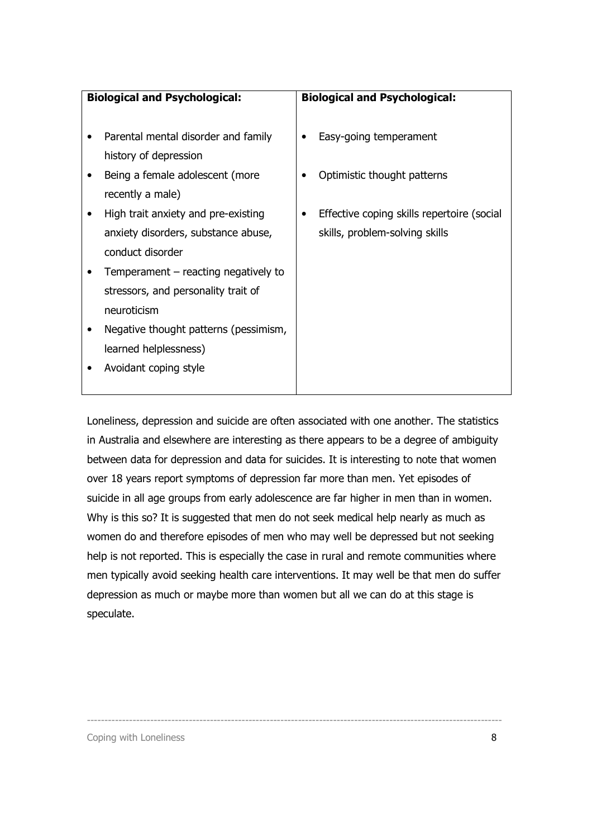| <b>Biological and Psychological:</b>   | <b>Biological and Psychological:</b>       |
|----------------------------------------|--------------------------------------------|
|                                        |                                            |
| Parental mental disorder and family    | Easy-going temperament                     |
| history of depression                  |                                            |
| Being a female adolescent (more        | Optimistic thought patterns                |
| recently a male)                       |                                            |
| High trait anxiety and pre-existing    | Effective coping skills repertoire (social |
| anxiety disorders, substance abuse,    | skills, problem-solving skills             |
| conduct disorder                       |                                            |
| Temperament $-$ reacting negatively to |                                            |
| stressors, and personality trait of    |                                            |
| neuroticism                            |                                            |
| Negative thought patterns (pessimism,  |                                            |
| learned helplessness)                  |                                            |
| Avoidant coping style                  |                                            |
|                                        |                                            |

Loneliness, depression and suicide are often associated with one another. The statistics in Australia and elsewhere are interesting as there appears to be a degree of ambiguity between data for depression and data for suicides. It is interesting to note that women over 18 years report symptoms of depression far more than men. Yet episodes of suicide in all age groups from early adolescence are far higher in men than in women. Why is this so? It is suggested that men do not seek medical help nearly as much as women do and therefore episodes of men who may well be depressed but not seeking help is not reported. This is especially the case in rural and remote communities where men typically avoid seeking health care interventions. It may well be that men do suffer depression as much or maybe more than women but all we can do at this stage is speculate.

----------------------------------------------------------------------------------------------------------------------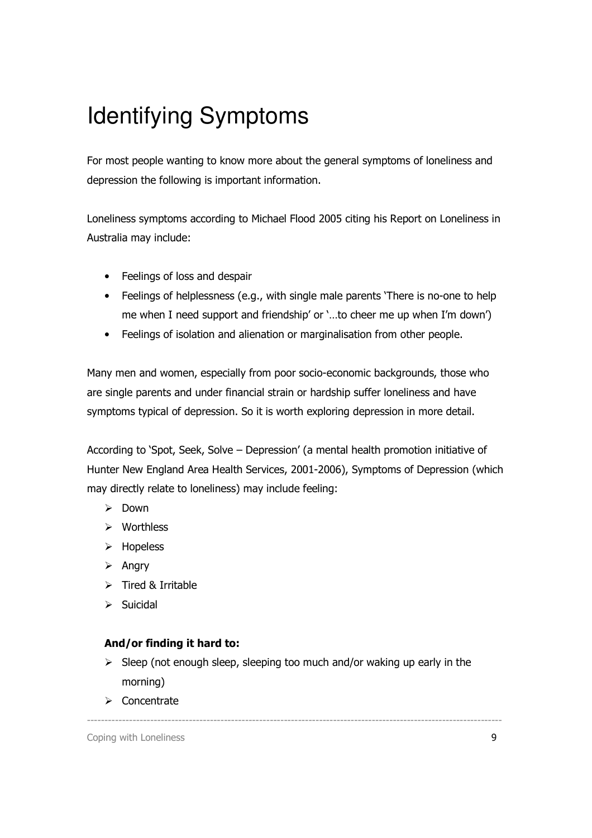## Identifying Symptoms

For most people wanting to know more about the general symptoms of loneliness and depression the following is important information.

Loneliness symptoms according to Michael Flood 2005 citing his Report on Loneliness in Australia may include:

- Feelings of loss and despair
- Feelings of helplessness (e.g., with single male parents 'There is no-one to help me when I need support and friendship' or '…to cheer me up when I'm down')
- Feelings of isolation and alienation or marginalisation from other people.

Many men and women, especially from poor socio-economic backgrounds, those who are single parents and under financial strain or hardship suffer loneliness and have symptoms typical of depression. So it is worth exploring depression in more detail.

According to 'Spot, Seek, Solve – Depression' (a mental health promotion initiative of Hunter New England Area Health Services, 2001-2006), Symptoms of Depression (which may directly relate to loneliness) may include feeling:

- $\triangleright$  Down
- Worthless
- > Hopeless
- $\triangleright$  Angry
- $\triangleright$  Tired & Irritable
- $\triangleright$  Suicidal

### And/or finding it hard to:

 $\triangleright$  Sleep (not enough sleep, sleeping too much and/or waking up early in the morning)

----------------------------------------------------------------------------------------------------------------------

 $\triangleright$  Concentrate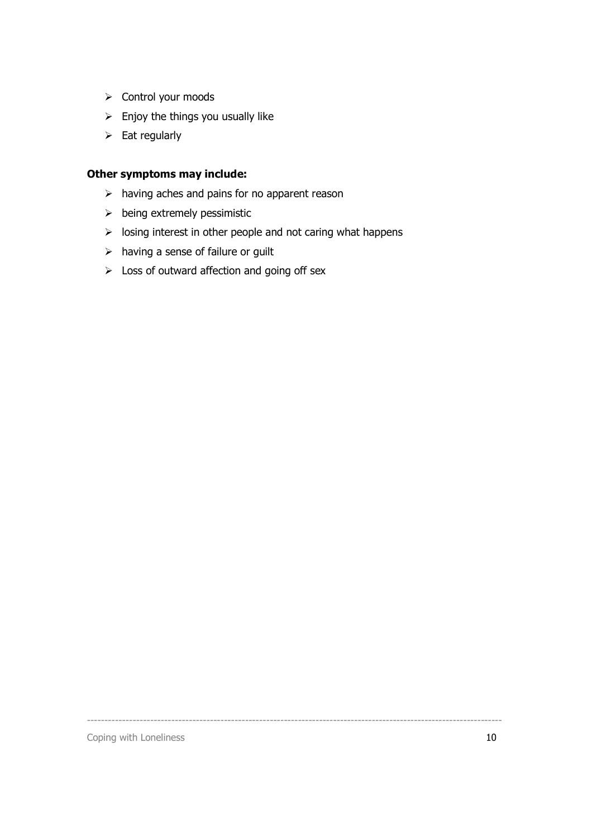- $\triangleright$  Control your moods
- $\triangleright$  Enjoy the things you usually like
- $\triangleright$  Eat regularly

## Other symptoms may include:

- $\triangleright$  having aches and pains for no apparent reason
- $\triangleright$  being extremely pessimistic
- $\triangleright$  losing interest in other people and not caring what happens

----------------------------------------------------------------------------------------------------------------------

- $\triangleright$  having a sense of failure or guilt
- $\triangleright$  Loss of outward affection and going off sex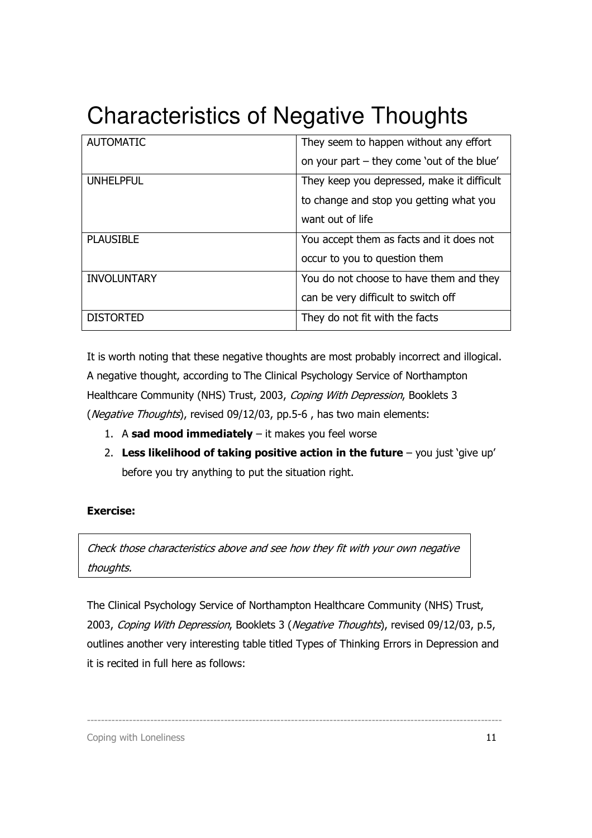## Characteristics of Negative Thoughts

| <b>AUTOMATIC</b>   | They seem to happen without any effort     |
|--------------------|--------------------------------------------|
|                    | on your part – they come 'out of the blue' |
| <b>UNHELPFUL</b>   | They keep you depressed, make it difficult |
|                    | to change and stop you getting what you    |
|                    | want out of life                           |
| <b>PLAUSIBLE</b>   | You accept them as facts and it does not   |
|                    | occur to you to question them              |
| <b>INVOLUNTARY</b> | You do not choose to have them and they    |
|                    | can be very difficult to switch off        |
| <b>DISTORTED</b>   | They do not fit with the facts             |

It is worth noting that these negative thoughts are most probably incorrect and illogical. A negative thought, according to The Clinical Psychology Service of Northampton Healthcare Community (NHS) Trust, 2003, Coping With Depression, Booklets 3 (*Negative Thoughts*), revised 09/12/03, pp.5-6, has two main elements:

- 1. A sad mood immediately  $-$  it makes you feel worse
- 2. Less likelihood of taking positive action in the future  $-$  you just 'give up' before you try anything to put the situation right.

### Exercise:

Check those characteristics above and see how they fit with your own negative thoughts.

The Clinical Psychology Service of Northampton Healthcare Community (NHS) Trust, 2003, Coping With Depression, Booklets 3 (Negative Thoughts), revised 09/12/03, p.5, outlines another very interesting table titled Types of Thinking Errors in Depression and it is recited in full here as follows:

----------------------------------------------------------------------------------------------------------------------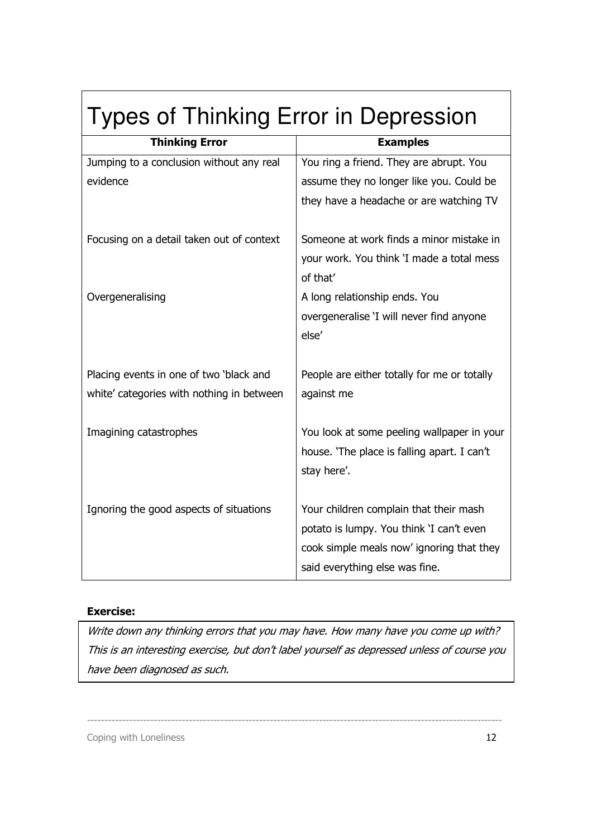| <b>Types of Thinking Error in Depression</b> |                                             |
|----------------------------------------------|---------------------------------------------|
| <b>Thinking Error</b>                        | <b>Examples</b>                             |
| Jumping to a conclusion without any real     | You ring a friend. They are abrupt. You     |
| evidence                                     | assume they no longer like you. Could be    |
|                                              | they have a headache or are watching TV     |
| Focusing on a detail taken out of context    | Someone at work finds a minor mistake in    |
|                                              | your work. You think 'I made a total mess   |
|                                              | of that'                                    |
| Overgeneralising                             | A long relationship ends. You               |
|                                              | overgeneralise 'I will never find anyone    |
|                                              | else'                                       |
| Placing events in one of two 'black and      | People are either totally for me or totally |
| white' categories with nothing in between    | against me                                  |
|                                              |                                             |
| Imagining catastrophes                       | You look at some peeling wallpaper in your  |
|                                              | house. 'The place is falling apart. I can't |
|                                              | stay here'.                                 |
| Ignoring the good aspects of situations      | Your children complain that their mash      |
|                                              | potato is lumpy. You think 'I can't even    |
|                                              | cook simple meals now' ignoring that they   |
|                                              | said everything else was fine.              |
|                                              |                                             |

### Exercise:

Write down any thinking errors that you may have. How many have you come up with? This is an interesting exercise, but don't label yourself as depressed unless of course you have been diagnosed as such.

----------------------------------------------------------------------------------------------------------------------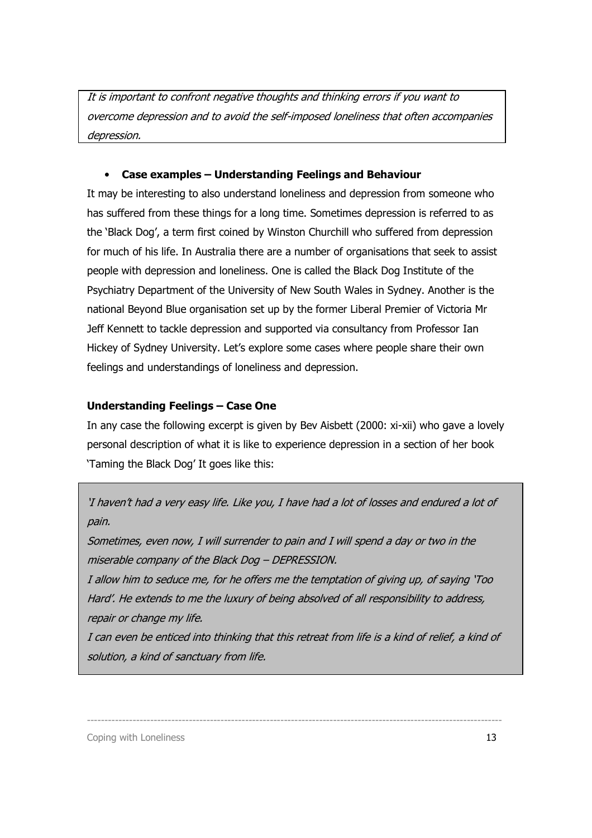It is important to confront negative thoughts and thinking errors if you want to overcome depression and to avoid the self-imposed loneliness that often accompanies depression.

### • Case examples – Understanding Feelings and Behaviour

It may be interesting to also understand loneliness and depression from someone who has suffered from these things for a long time. Sometimes depression is referred to as the 'Black Dog', a term first coined by Winston Churchill who suffered from depression for much of his life. In Australia there are a number of organisations that seek to assist people with depression and loneliness. One is called the Black Dog Institute of the Psychiatry Department of the University of New South Wales in Sydney. Another is the national Beyond Blue organisation set up by the former Liberal Premier of Victoria Mr Jeff Kennett to tackle depression and supported via consultancy from Professor Ian Hickey of Sydney University. Let's explore some cases where people share their own feelings and understandings of loneliness and depression.

#### Understanding Feelings – Case One

In any case the following excerpt is given by Bev Aisbett (2000: xi-xii) who gave a lovely personal description of what it is like to experience depression in a section of her book 'Taming the Black Dog' It goes like this:

## 'I haven't had a very easy life. Like you, I have had a lot of losses and endured a lot of pain.

Sometimes, even now, I will surrender to pain and I will spend a day or two in the miserable company of the Black Dog – DEPRESSION.

I allow him to seduce me, for he offers me the temptation of giving up, of saying 'Too Hard'. He extends to me the luxury of being absolved of all responsibility to address, repair or change my life.

I can even be enticed into thinking that this retreat from life is a kind of relief, a kind of solution, a kind of sanctuary from life.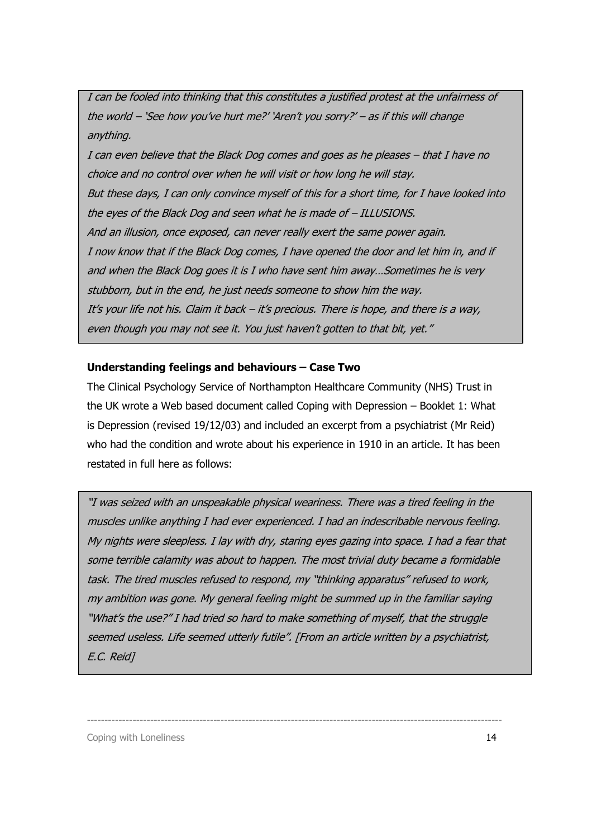I can be fooled into thinking that this constitutes a justified protest at the unfairness of the world – 'See how you've hurt me?' 'Aren't you sorry?' – as if this will change anything.

I can even believe that the Black Dog comes and goes as he pleases – that I have no choice and no control over when he will visit or how long he will stay. But these days, I can only convince myself of this for a short time, for I have looked into the eyes of the Black Dog and seen what he is made of – ILLUSIONS. And an illusion, once exposed, can never really exert the same power again. I now know that if the Black Dog comes, I have opened the door and let him in, and if and when the Black Dog goes it is I who have sent him away…Sometimes he is very stubborn, but in the end, he just needs someone to show him the way. It's your life not his. Claim it back – it's precious. There is hope, and there is a way, even though you may not see it. You just haven't gotten to that bit, yet."

#### Understanding feelings and behaviours – Case Two

The Clinical Psychology Service of Northampton Healthcare Community (NHS) Trust in the UK wrote a Web based document called Coping with Depression – Booklet 1: What is Depression (revised 19/12/03) and included an excerpt from a psychiatrist (Mr Reid) who had the condition and wrote about his experience in 1910 in an article. It has been restated in full here as follows:

"I was seized with an unspeakable physical weariness. There was a tired feeling in the muscles unlike anything I had ever experienced. I had an indescribable nervous feeling. My nights were sleepless. I lay with dry, staring eyes gazing into space. I had a fear that some terrible calamity was about to happen. The most trivial duty became a formidable task. The tired muscles refused to respond, my "thinking apparatus" refused to work, my ambition was gone. My general feeling might be summed up in the familiar saying "What's the use?" I had tried so hard to make something of myself, that the struggle seemed useless. Life seemed utterly futile". [From an article written by a psychiatrist, E.C. Reid]

----------------------------------------------------------------------------------------------------------------------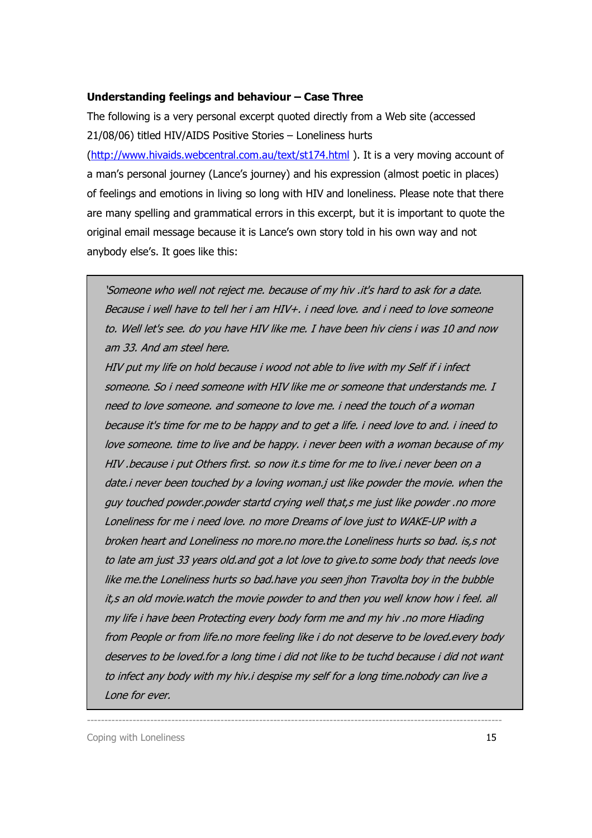#### Understanding feelings and behaviour – Case Three

The following is a very personal excerpt quoted directly from a Web site (accessed 21/08/06) titled HIV/AIDS Positive Stories – Loneliness hurts

(http://www.hivaids.webcentral.com.au/text/st174.html ). It is a very moving account of a man's personal journey (Lance's journey) and his expression (almost poetic in places) of feelings and emotions in living so long with HIV and loneliness. Please note that there are many spelling and grammatical errors in this excerpt, but it is important to quote the original email message because it is Lance's own story told in his own way and not anybody else's. It goes like this:

'Someone who well not reject me. because of my hiv .it's hard to ask for a date. Because i well have to tell her i am HIV+. i need love. and i need to love someone to. Well let's see. do you have HIV like me. I have been hiv ciens i was 10 and now am 33. And am steel here.

HIV put my life on hold because i wood not able to live with my Self if i infect someone. So i need someone with HIV like me or someone that understands me. I need to love someone. and someone to love me. i need the touch of a woman because it's time for me to be happy and to get a life. i need love to and. i ineed to love someone. time to live and be happy. i never been with a woman because of my HIV .because i put Others first. so now it.s time for me to live.i never been on a date.i never been touched by a loving woman.j ust like powder the movie. when the guy touched powder.powder startd crying well that,s me just like powder .no more Loneliness for me i need love. no more Dreams of love just to WAKE-UP with a broken heart and Loneliness no more.no more.the Loneliness hurts so bad. is,s not to late am just 33 years old.and got a lot love to give.to some body that needs love like me.the Loneliness hurts so bad.have you seen jhon Travolta boy in the bubble it,s an old movie.watch the movie powder to and then you well know how i feel. all my life i have been Protecting every body form me and my hiv .no more Hiading from People or from life.no more feeling like i do not deserve to be loved.every body deserves to be loved.for a long time i did not like to be tuchd because i did not want to infect any body with my hiv.i despise my self for a long time.nobody can live a Lone for ever.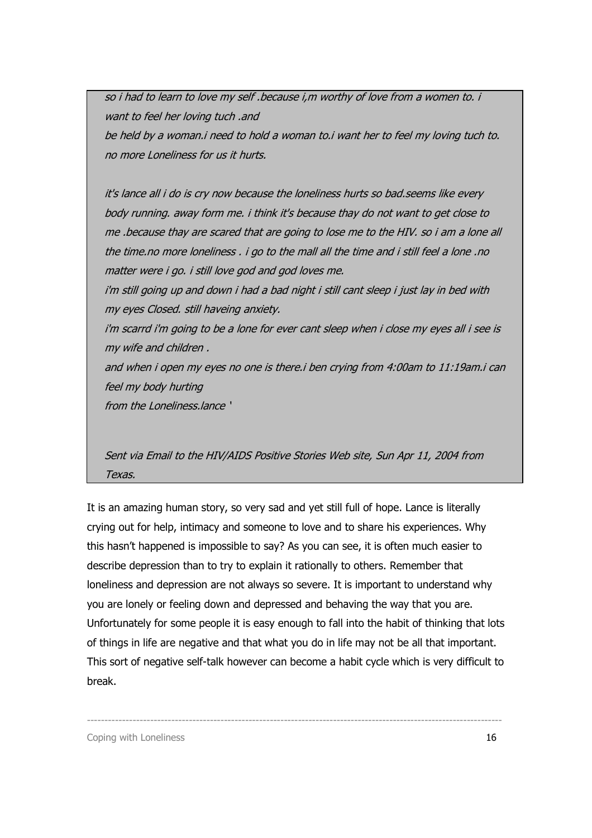so i had to learn to love my self .because i,m worthy of love from a women to. i want to feel her loving tuch .and be held by a woman.i need to hold a woman to.i want her to feel my loving tuch to. no more Loneliness for us it hurts.

it's lance all i do is cry now because the loneliness hurts so bad.seems like every body running. away form me. i think it's because thay do not want to get close to me .because thay are scared that are going to lose me to the HIV. so i am a lone all the time.no more loneliness . i go to the mall all the time and i still feel a lone .no matter were i go. i still love god and god loves me.

i'm still going up and down i had a bad night i still cant sleep i just lay in bed with my eyes Closed. still haveing anxiety.

i'm scarrd i'm going to be a lone for ever cant sleep when i close my eyes all i see is my wife and children .

and when i open my eyes no one is there.i ben crying from 4:00am to 11:19am.i can feel my body hurting

from the Loneliness.lance '

Sent via Email to the HIV/AIDS Positive Stories Web site, Sun Apr 11, 2004 from Texas.

It is an amazing human story, so very sad and yet still full of hope. Lance is literally crying out for help, intimacy and someone to love and to share his experiences. Why this hasn't happened is impossible to say? As you can see, it is often much easier to describe depression than to try to explain it rationally to others. Remember that loneliness and depression are not always so severe. It is important to understand why you are lonely or feeling down and depressed and behaving the way that you are. Unfortunately for some people it is easy enough to fall into the habit of thinking that lots of things in life are negative and that what you do in life may not be all that important. This sort of negative self-talk however can become a habit cycle which is very difficult to break.

----------------------------------------------------------------------------------------------------------------------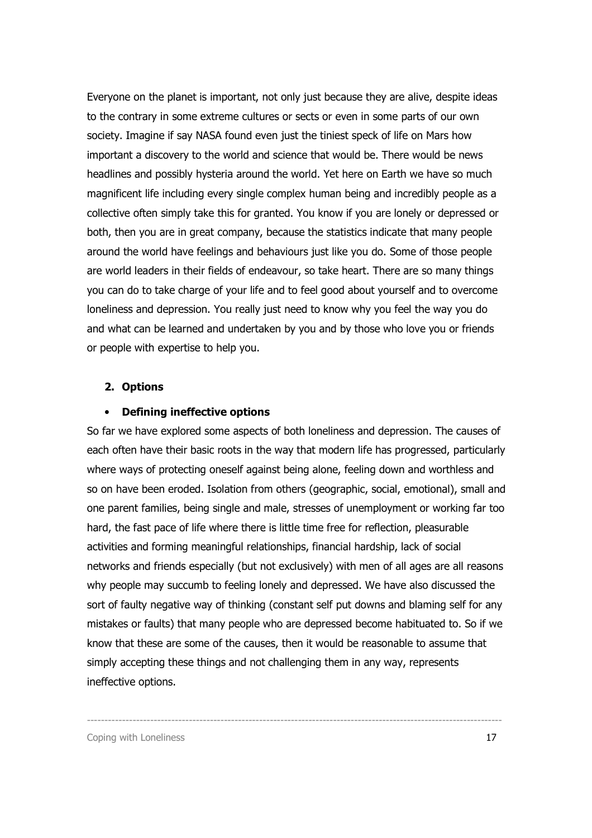Everyone on the planet is important, not only just because they are alive, despite ideas to the contrary in some extreme cultures or sects or even in some parts of our own society. Imagine if say NASA found even just the tiniest speck of life on Mars how important a discovery to the world and science that would be. There would be news headlines and possibly hysteria around the world. Yet here on Earth we have so much magnificent life including every single complex human being and incredibly people as a collective often simply take this for granted. You know if you are lonely or depressed or both, then you are in great company, because the statistics indicate that many people around the world have feelings and behaviours just like you do. Some of those people are world leaders in their fields of endeavour, so take heart. There are so many things you can do to take charge of your life and to feel good about yourself and to overcome loneliness and depression. You really just need to know why you feel the way you do and what can be learned and undertaken by you and by those who love you or friends or people with expertise to help you.

#### 2. Options

#### • Defining ineffective options

So far we have explored some aspects of both loneliness and depression. The causes of each often have their basic roots in the way that modern life has progressed, particularly where ways of protecting oneself against being alone, feeling down and worthless and so on have been eroded. Isolation from others (geographic, social, emotional), small and one parent families, being single and male, stresses of unemployment or working far too hard, the fast pace of life where there is little time free for reflection, pleasurable activities and forming meaningful relationships, financial hardship, lack of social networks and friends especially (but not exclusively) with men of all ages are all reasons why people may succumb to feeling lonely and depressed. We have also discussed the sort of faulty negative way of thinking (constant self put downs and blaming self for any mistakes or faults) that many people who are depressed become habituated to. So if we know that these are some of the causes, then it would be reasonable to assume that simply accepting these things and not challenging them in any way, represents ineffective options.

----------------------------------------------------------------------------------------------------------------------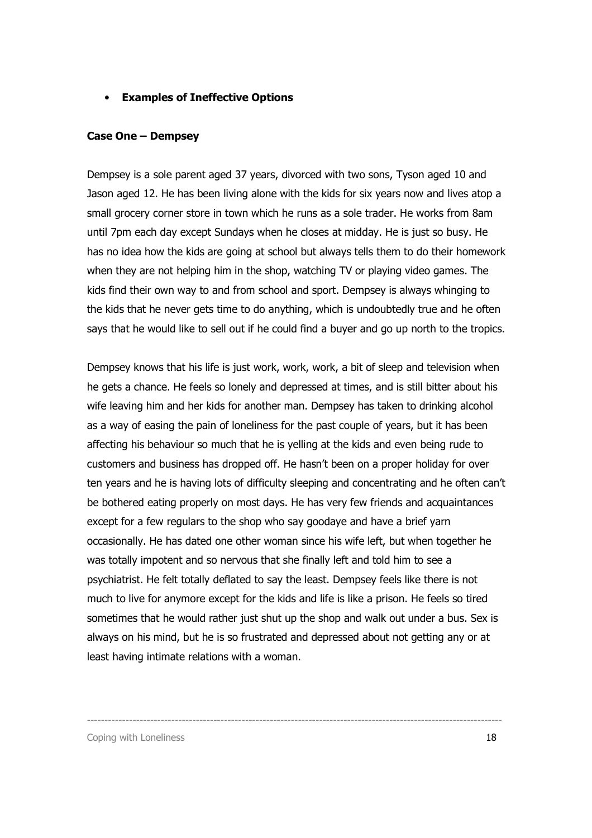#### • Examples of Ineffective Options

#### Case One – Dempsey

Dempsey is a sole parent aged 37 years, divorced with two sons, Tyson aged 10 and Jason aged 12. He has been living alone with the kids for six years now and lives atop a small grocery corner store in town which he runs as a sole trader. He works from 8am until 7pm each day except Sundays when he closes at midday. He is just so busy. He has no idea how the kids are going at school but always tells them to do their homework when they are not helping him in the shop, watching TV or playing video games. The kids find their own way to and from school and sport. Dempsey is always whinging to the kids that he never gets time to do anything, which is undoubtedly true and he often says that he would like to sell out if he could find a buyer and go up north to the tropics.

Dempsey knows that his life is just work, work, work, a bit of sleep and television when he gets a chance. He feels so lonely and depressed at times, and is still bitter about his wife leaving him and her kids for another man. Dempsey has taken to drinking alcohol as a way of easing the pain of loneliness for the past couple of years, but it has been affecting his behaviour so much that he is yelling at the kids and even being rude to customers and business has dropped off. He hasn't been on a proper holiday for over ten years and he is having lots of difficulty sleeping and concentrating and he often can't be bothered eating properly on most days. He has very few friends and acquaintances except for a few regulars to the shop who say goodaye and have a brief yarn occasionally. He has dated one other woman since his wife left, but when together he was totally impotent and so nervous that she finally left and told him to see a psychiatrist. He felt totally deflated to say the least. Dempsey feels like there is not much to live for anymore except for the kids and life is like a prison. He feels so tired sometimes that he would rather just shut up the shop and walk out under a bus. Sex is always on his mind, but he is so frustrated and depressed about not getting any or at least having intimate relations with a woman.

----------------------------------------------------------------------------------------------------------------------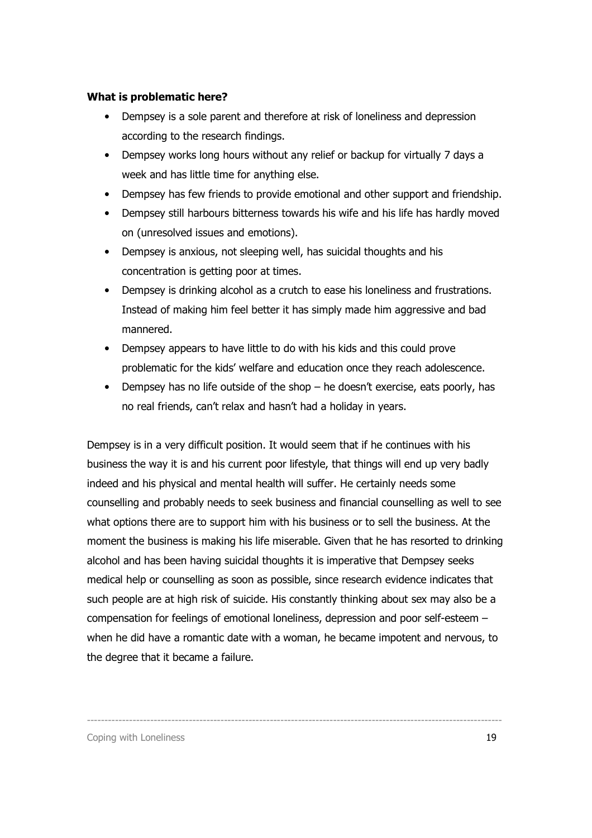#### What is problematic here?

- Dempsey is a sole parent and therefore at risk of loneliness and depression according to the research findings.
- Dempsey works long hours without any relief or backup for virtually 7 days a week and has little time for anything else.
- Dempsey has few friends to provide emotional and other support and friendship.
- Dempsey still harbours bitterness towards his wife and his life has hardly moved on (unresolved issues and emotions).
- Dempsey is anxious, not sleeping well, has suicidal thoughts and his concentration is getting poor at times.
- Dempsey is drinking alcohol as a crutch to ease his loneliness and frustrations. Instead of making him feel better it has simply made him aggressive and bad mannered.
- Dempsey appears to have little to do with his kids and this could prove problematic for the kids' welfare and education once they reach adolescence.
- Dempsey has no life outside of the shop he doesn't exercise, eats poorly, has no real friends, can't relax and hasn't had a holiday in years.

Dempsey is in a very difficult position. It would seem that if he continues with his business the way it is and his current poor lifestyle, that things will end up very badly indeed and his physical and mental health will suffer. He certainly needs some counselling and probably needs to seek business and financial counselling as well to see what options there are to support him with his business or to sell the business. At the moment the business is making his life miserable. Given that he has resorted to drinking alcohol and has been having suicidal thoughts it is imperative that Dempsey seeks medical help or counselling as soon as possible, since research evidence indicates that such people are at high risk of suicide. His constantly thinking about sex may also be a compensation for feelings of emotional loneliness, depression and poor self-esteem – when he did have a romantic date with a woman, he became impotent and nervous, to the degree that it became a failure.

----------------------------------------------------------------------------------------------------------------------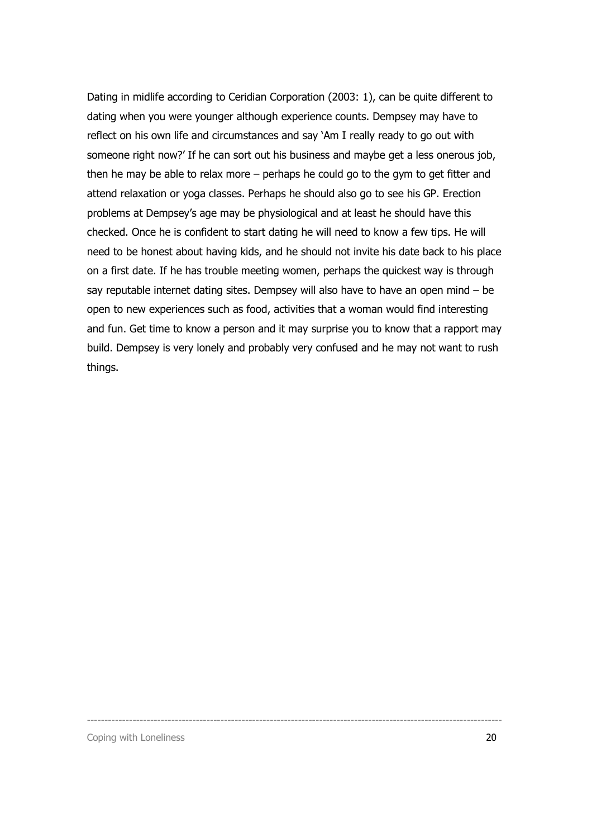Dating in midlife according to Ceridian Corporation (2003: 1), can be quite different to dating when you were younger although experience counts. Dempsey may have to reflect on his own life and circumstances and say 'Am I really ready to go out with someone right now?' If he can sort out his business and maybe get a less onerous job, then he may be able to relax more – perhaps he could go to the gym to get fitter and attend relaxation or yoga classes. Perhaps he should also go to see his GP. Erection problems at Dempsey's age may be physiological and at least he should have this checked. Once he is confident to start dating he will need to know a few tips. He will need to be honest about having kids, and he should not invite his date back to his place on a first date. If he has trouble meeting women, perhaps the quickest way is through say reputable internet dating sites. Dempsey will also have to have an open mind – be open to new experiences such as food, activities that a woman would find interesting and fun. Get time to know a person and it may surprise you to know that a rapport may build. Dempsey is very lonely and probably very confused and he may not want to rush things.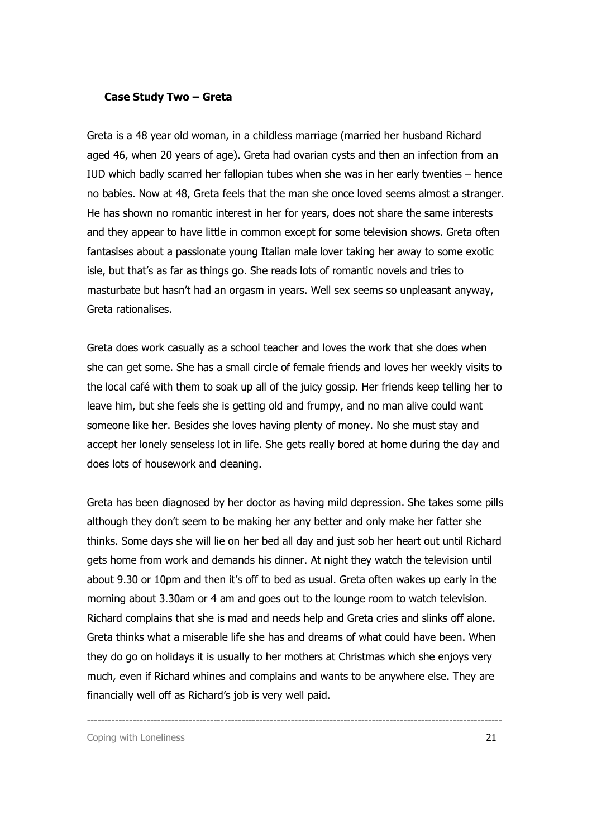#### Case Study Two – Greta

Greta is a 48 year old woman, in a childless marriage (married her husband Richard aged 46, when 20 years of age). Greta had ovarian cysts and then an infection from an IUD which badly scarred her fallopian tubes when she was in her early twenties – hence no babies. Now at 48, Greta feels that the man she once loved seems almost a stranger. He has shown no romantic interest in her for years, does not share the same interests and they appear to have little in common except for some television shows. Greta often fantasises about a passionate young Italian male lover taking her away to some exotic isle, but that's as far as things go. She reads lots of romantic novels and tries to masturbate but hasn't had an orgasm in years. Well sex seems so unpleasant anyway, Greta rationalises.

Greta does work casually as a school teacher and loves the work that she does when she can get some. She has a small circle of female friends and loves her weekly visits to the local café with them to soak up all of the juicy gossip. Her friends keep telling her to leave him, but she feels she is getting old and frumpy, and no man alive could want someone like her. Besides she loves having plenty of money. No she must stay and accept her lonely senseless lot in life. She gets really bored at home during the day and does lots of housework and cleaning.

Greta has been diagnosed by her doctor as having mild depression. She takes some pills although they don't seem to be making her any better and only make her fatter she thinks. Some days she will lie on her bed all day and just sob her heart out until Richard gets home from work and demands his dinner. At night they watch the television until about 9.30 or 10pm and then it's off to bed as usual. Greta often wakes up early in the morning about 3.30am or 4 am and goes out to the lounge room to watch television. Richard complains that she is mad and needs help and Greta cries and slinks off alone. Greta thinks what a miserable life she has and dreams of what could have been. When they do go on holidays it is usually to her mothers at Christmas which she enjoys very much, even if Richard whines and complains and wants to be anywhere else. They are financially well off as Richard's job is very well paid.

----------------------------------------------------------------------------------------------------------------------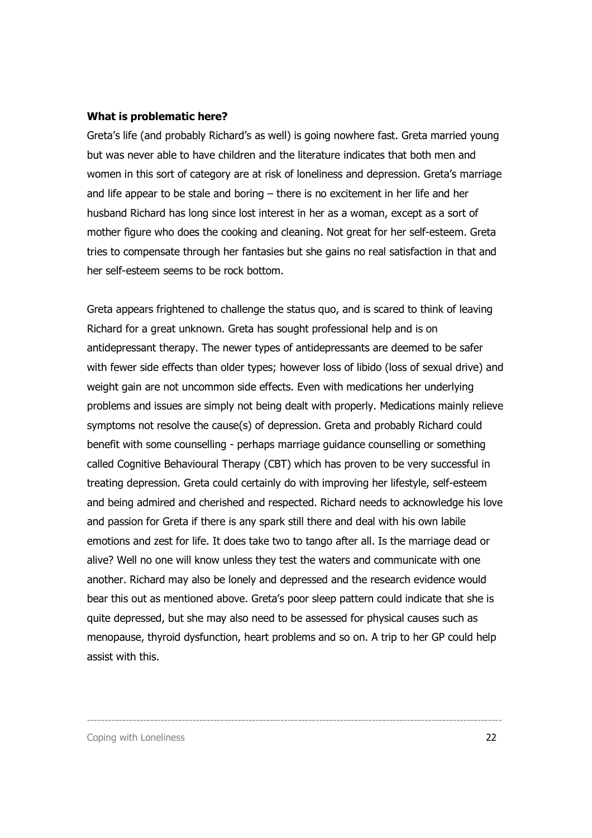#### What is problematic here?

Greta's life (and probably Richard's as well) is going nowhere fast. Greta married young but was never able to have children and the literature indicates that both men and women in this sort of category are at risk of loneliness and depression. Greta's marriage and life appear to be stale and boring – there is no excitement in her life and her husband Richard has long since lost interest in her as a woman, except as a sort of mother figure who does the cooking and cleaning. Not great for her self-esteem. Greta tries to compensate through her fantasies but she gains no real satisfaction in that and her self-esteem seems to be rock bottom.

Greta appears frightened to challenge the status quo, and is scared to think of leaving Richard for a great unknown. Greta has sought professional help and is on antidepressant therapy. The newer types of antidepressants are deemed to be safer with fewer side effects than older types; however loss of libido (loss of sexual drive) and weight gain are not uncommon side effects. Even with medications her underlying problems and issues are simply not being dealt with properly. Medications mainly relieve symptoms not resolve the cause(s) of depression. Greta and probably Richard could benefit with some counselling - perhaps marriage guidance counselling or something called Cognitive Behavioural Therapy (CBT) which has proven to be very successful in treating depression. Greta could certainly do with improving her lifestyle, self-esteem and being admired and cherished and respected. Richard needs to acknowledge his love and passion for Greta if there is any spark still there and deal with his own labile emotions and zest for life. It does take two to tango after all. Is the marriage dead or alive? Well no one will know unless they test the waters and communicate with one another. Richard may also be lonely and depressed and the research evidence would bear this out as mentioned above. Greta's poor sleep pattern could indicate that she is quite depressed, but she may also need to be assessed for physical causes such as menopause, thyroid dysfunction, heart problems and so on. A trip to her GP could help assist with this.

----------------------------------------------------------------------------------------------------------------------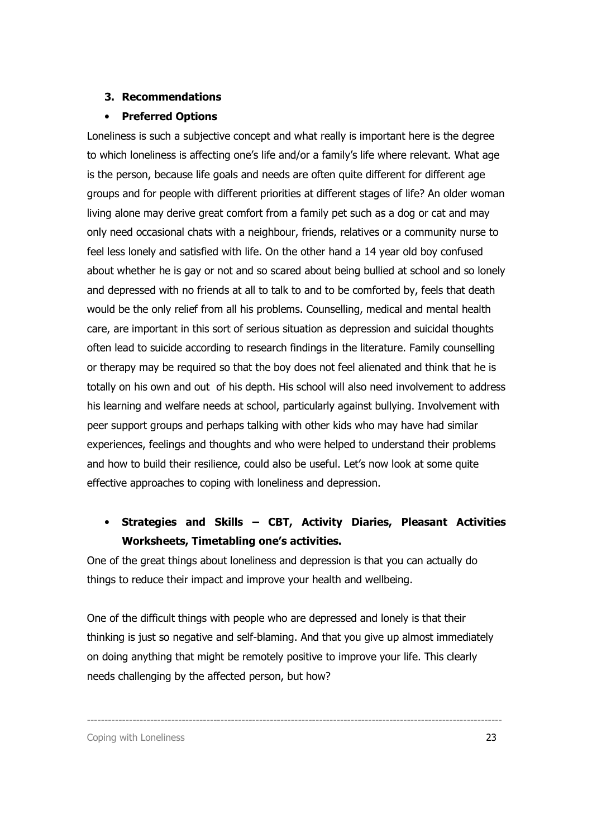#### 3. Recommendations

#### • Preferred Options

Loneliness is such a subjective concept and what really is important here is the degree to which loneliness is affecting one's life and/or a family's life where relevant. What age is the person, because life goals and needs are often quite different for different age groups and for people with different priorities at different stages of life? An older woman living alone may derive great comfort from a family pet such as a dog or cat and may only need occasional chats with a neighbour, friends, relatives or a community nurse to feel less lonely and satisfied with life. On the other hand a 14 year old boy confused about whether he is gay or not and so scared about being bullied at school and so lonely and depressed with no friends at all to talk to and to be comforted by, feels that death would be the only relief from all his problems. Counselling, medical and mental health care, are important in this sort of serious situation as depression and suicidal thoughts often lead to suicide according to research findings in the literature. Family counselling or therapy may be required so that the boy does not feel alienated and think that he is totally on his own and out of his depth. His school will also need involvement to address his learning and welfare needs at school, particularly against bullying. Involvement with peer support groups and perhaps talking with other kids who may have had similar experiences, feelings and thoughts and who were helped to understand their problems and how to build their resilience, could also be useful. Let's now look at some quite effective approaches to coping with loneliness and depression.

## • Strategies and Skills – CBT, Activity Diaries, Pleasant Activities Worksheets, Timetabling one's activities.

One of the great things about loneliness and depression is that you can actually do things to reduce their impact and improve your health and wellbeing.

One of the difficult things with people who are depressed and lonely is that their thinking is just so negative and self-blaming. And that you give up almost immediately on doing anything that might be remotely positive to improve your life. This clearly needs challenging by the affected person, but how?

----------------------------------------------------------------------------------------------------------------------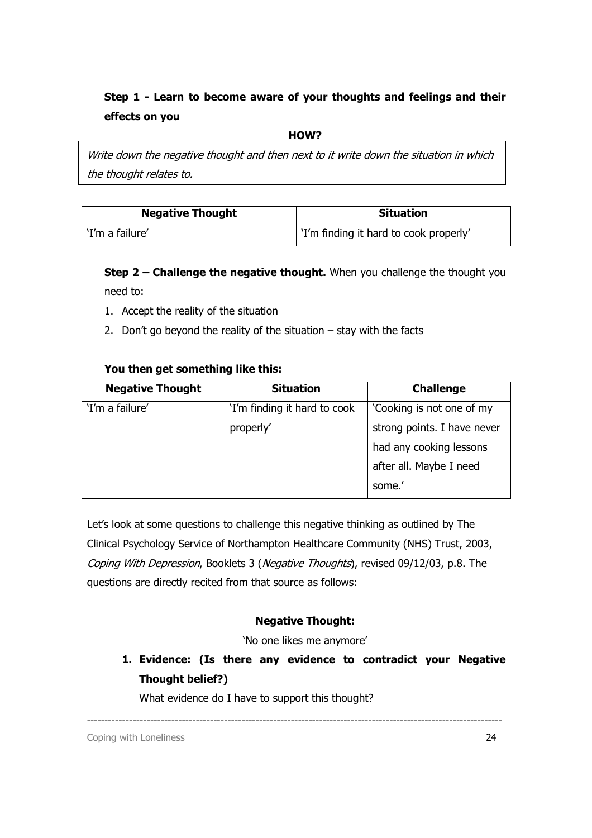## Step 1 - Learn to become aware of your thoughts and feelings and their effects on you

HOW?

Write down the negative thought and then next to it write down the situation in which the thought relates to.

| <b>Negative Thought</b> | <b>Situation</b>                       |
|-------------------------|----------------------------------------|
| 'I'm a failure'         | 'I'm finding it hard to cook properly' |

Step 2 – Challenge the negative thought. When you challenge the thought you need to:

- 1. Accept the reality of the situation
- 2. Don't go beyond the reality of the situation stay with the facts

## You then get something like this:

| <b>Negative Thought</b> | <b>Situation</b>             | <b>Challenge</b>            |
|-------------------------|------------------------------|-----------------------------|
| 'I'm a failure'         | 'I'm finding it hard to cook | 'Cooking is not one of my   |
|                         | properly'                    | strong points. I have never |
|                         |                              | had any cooking lessons     |
|                         |                              | after all. Maybe I need     |
|                         |                              | some.'                      |

Let's look at some questions to challenge this negative thinking as outlined by The Clinical Psychology Service of Northampton Healthcare Community (NHS) Trust, 2003, Coping With Depression, Booklets 3 (Negative Thoughts), revised 09/12/03, p.8. The questions are directly recited from that source as follows:

### Negative Thought:

'No one likes me anymore'

----------------------------------------------------------------------------------------------------------------------

1. Evidence: (Is there any evidence to contradict your Negative Thought belief?)

What evidence do I have to support this thought?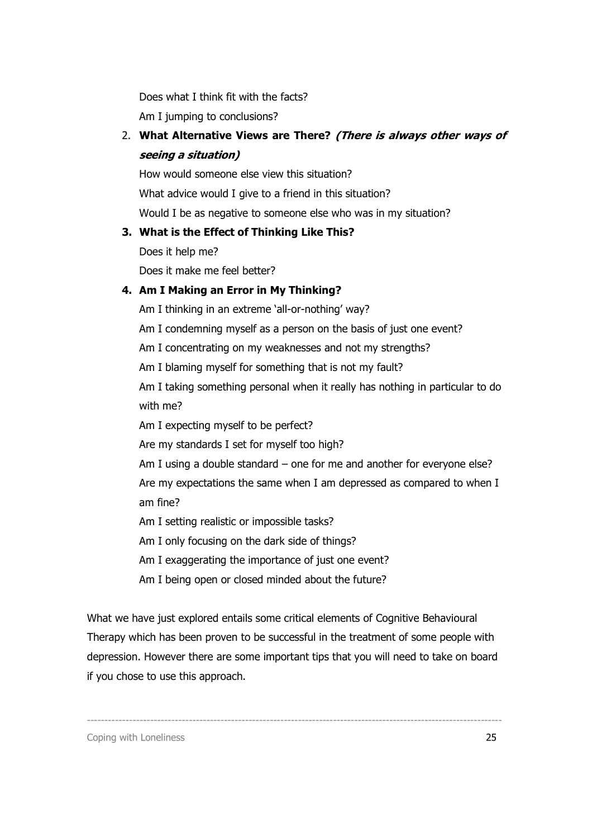Does what I think fit with the facts? Am I jumping to conclusions?

2. What Alternative Views are There? (There is always other ways of seeing a situation)

How would someone else view this situation? What advice would I give to a friend in this situation? Would I be as negative to someone else who was in my situation?

## 3. What is the Effect of Thinking Like This?

Does it help me?

Does it make me feel better?

## 4. Am I Making an Error in My Thinking?

Am I thinking in an extreme 'all-or-nothing' way?

Am I condemning myself as a person on the basis of just one event?

Am I concentrating on my weaknesses and not my strengths?

Am I blaming myself for something that is not my fault?

Am I taking something personal when it really has nothing in particular to do with me?

Am I expecting myself to be perfect?

Are my standards I set for myself too high?

Am I using a double standard – one for me and another for everyone else?

Are my expectations the same when I am depressed as compared to when I am fine?

Am I setting realistic or impossible tasks?

Am I only focusing on the dark side of things?

Am I exaggerating the importance of just one event?

Am I being open or closed minded about the future?

What we have just explored entails some critical elements of Cognitive Behavioural Therapy which has been proven to be successful in the treatment of some people with depression. However there are some important tips that you will need to take on board if you chose to use this approach.

----------------------------------------------------------------------------------------------------------------------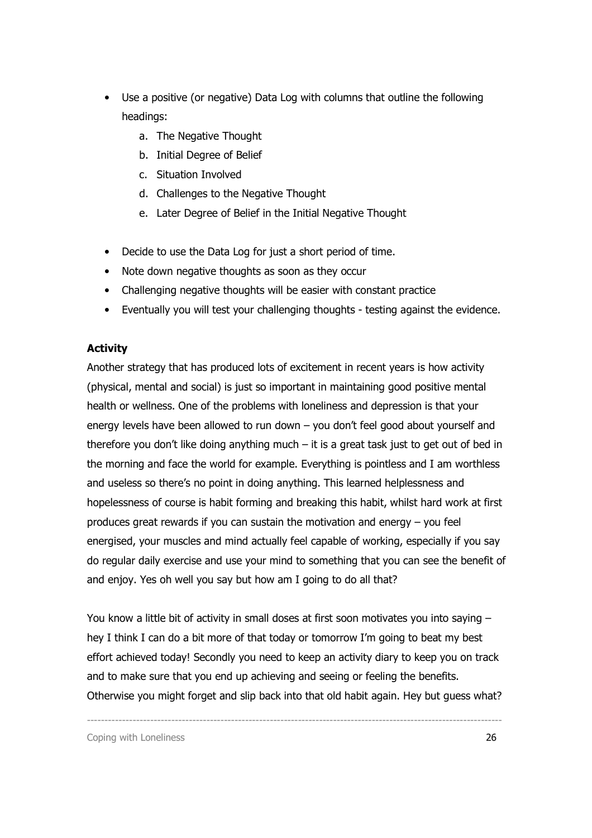- Use a positive (or negative) Data Log with columns that outline the following headings:
	- a. The Negative Thought
	- b. Initial Degree of Belief
	- c. Situation Involved
	- d. Challenges to the Negative Thought
	- e. Later Degree of Belief in the Initial Negative Thought
- Decide to use the Data Log for just a short period of time.
- Note down negative thoughts as soon as they occur
- Challenging negative thoughts will be easier with constant practice
- Eventually you will test your challenging thoughts testing against the evidence.

### **Activity**

Another strategy that has produced lots of excitement in recent years is how activity (physical, mental and social) is just so important in maintaining good positive mental health or wellness. One of the problems with loneliness and depression is that your energy levels have been allowed to run down – you don't feel good about yourself and therefore you don't like doing anything much  $-$  it is a great task just to get out of bed in the morning and face the world for example. Everything is pointless and I am worthless and useless so there's no point in doing anything. This learned helplessness and hopelessness of course is habit forming and breaking this habit, whilst hard work at first produces great rewards if you can sustain the motivation and energy – you feel energised, your muscles and mind actually feel capable of working, especially if you say do regular daily exercise and use your mind to something that you can see the benefit of and enjoy. Yes oh well you say but how am I going to do all that?

You know a little bit of activity in small doses at first soon motivates you into saying – hey I think I can do a bit more of that today or tomorrow I'm going to beat my best effort achieved today! Secondly you need to keep an activity diary to keep you on track and to make sure that you end up achieving and seeing or feeling the benefits. Otherwise you might forget and slip back into that old habit again. Hey but guess what?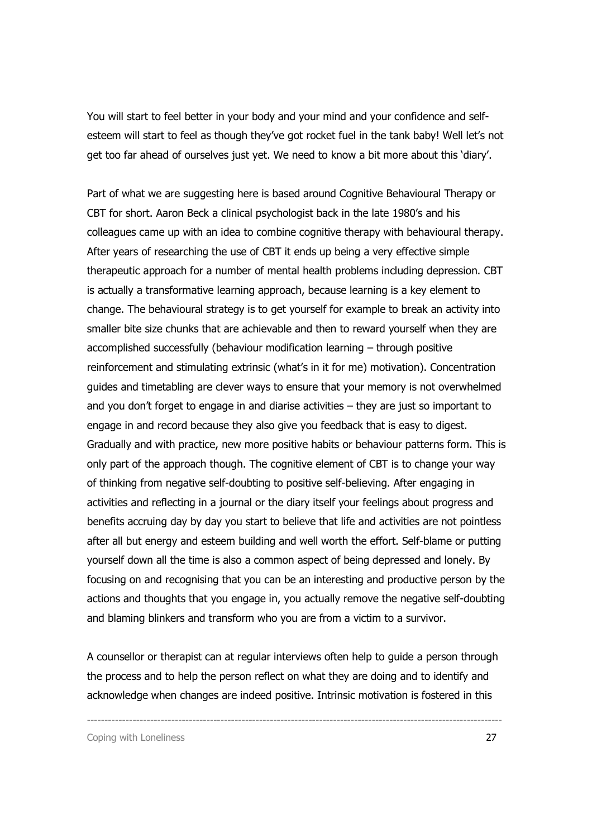You will start to feel better in your body and your mind and your confidence and selfesteem will start to feel as though they've got rocket fuel in the tank baby! Well let's not get too far ahead of ourselves just yet. We need to know a bit more about this 'diary'.

Part of what we are suggesting here is based around Cognitive Behavioural Therapy or CBT for short. Aaron Beck a clinical psychologist back in the late 1980's and his colleagues came up with an idea to combine cognitive therapy with behavioural therapy. After years of researching the use of CBT it ends up being a very effective simple therapeutic approach for a number of mental health problems including depression. CBT is actually a transformative learning approach, because learning is a key element to change. The behavioural strategy is to get yourself for example to break an activity into smaller bite size chunks that are achievable and then to reward yourself when they are accomplished successfully (behaviour modification learning – through positive reinforcement and stimulating extrinsic (what's in it for me) motivation). Concentration guides and timetabling are clever ways to ensure that your memory is not overwhelmed and you don't forget to engage in and diarise activities – they are just so important to engage in and record because they also give you feedback that is easy to digest. Gradually and with practice, new more positive habits or behaviour patterns form. This is only part of the approach though. The cognitive element of CBT is to change your way of thinking from negative self-doubting to positive self-believing. After engaging in activities and reflecting in a journal or the diary itself your feelings about progress and benefits accruing day by day you start to believe that life and activities are not pointless after all but energy and esteem building and well worth the effort. Self-blame or putting yourself down all the time is also a common aspect of being depressed and lonely. By focusing on and recognising that you can be an interesting and productive person by the actions and thoughts that you engage in, you actually remove the negative self-doubting and blaming blinkers and transform who you are from a victim to a survivor.

A counsellor or therapist can at regular interviews often help to guide a person through the process and to help the person reflect on what they are doing and to identify and acknowledge when changes are indeed positive. Intrinsic motivation is fostered in this

----------------------------------------------------------------------------------------------------------------------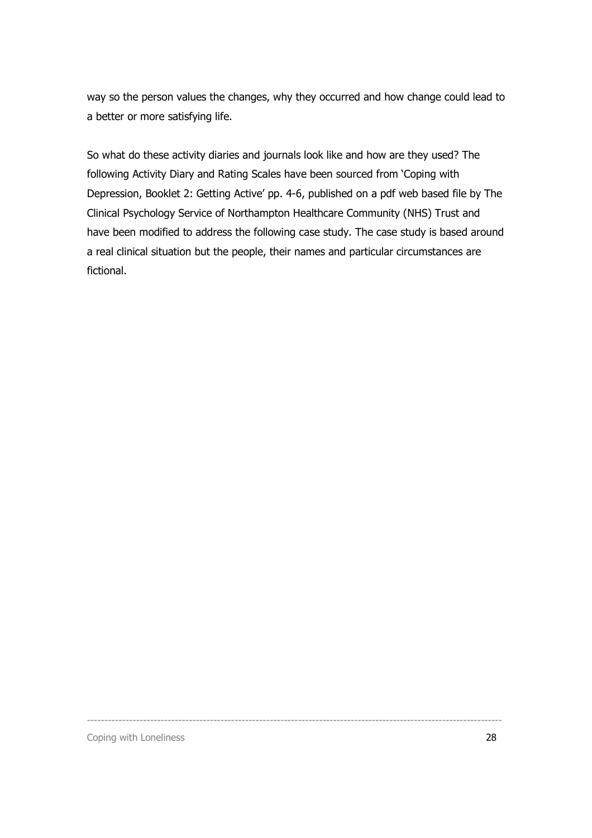way so the person values the changes, why they occurred and how change could lead to a better or more satisfying life.

So what do these activity diaries and journals look like and how are they used? The following Activity Diary and Rating Scales have been sourced from 'Coping with Depression, Booklet 2: Getting Active' pp. 4-6, published on a pdf web based file by The Clinical Psychology Service of Northampton Healthcare Community (NHS) Trust and have been modified to address the following case study. The case study is based around a real clinical situation but the people, their names and particular circumstances are fictional.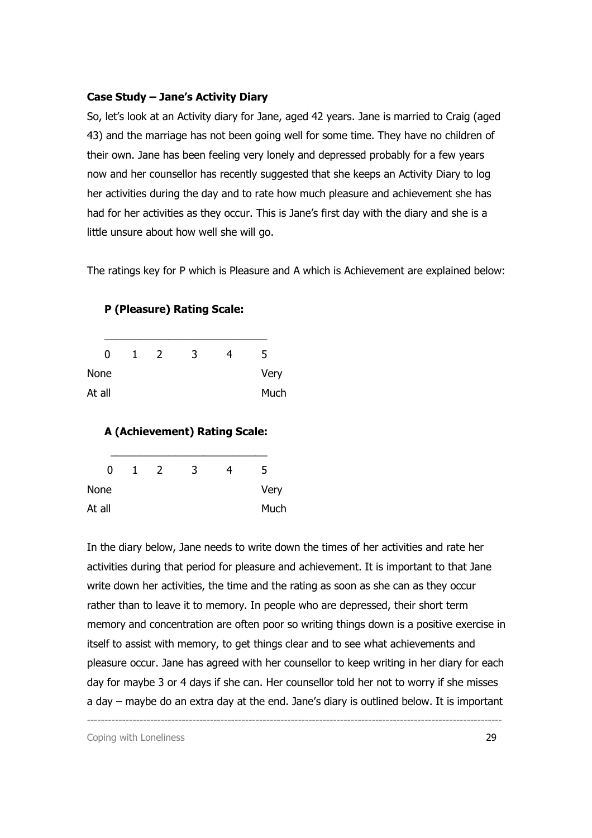#### Case Study – Jane's Activity Diary

So, let's look at an Activity diary for Jane, aged 42 years. Jane is married to Craig (aged 43) and the marriage has not been going well for some time. They have no children of their own. Jane has been feeling very lonely and depressed probably for a few years now and her counsellor has recently suggested that she keeps an Activity Diary to log her activities during the day and to rate how much pleasure and achievement she has had for her activities as they occur. This is Jane's first day with the diary and she is a little unsure about how well she will go.

The ratings key for P which is Pleasure and A which is Achievement are explained below:

| 0           | L | 2 | 3 | 5    |
|-------------|---|---|---|------|
| <b>None</b> |   |   |   | Very |
| At all      |   |   |   | Much |

P (Pleasure) Rating Scale:

## A (Achievement) Rating Scale:

| N      | 1 | $\mathcal{L}$ | 3 | 4 | 5    |
|--------|---|---------------|---|---|------|
| None   |   |               |   |   | Very |
| At all |   |               |   |   | Much |

In the diary below, Jane needs to write down the times of her activities and rate her activities during that period for pleasure and achievement. It is important to that Jane write down her activities, the time and the rating as soon as she can as they occur rather than to leave it to memory. In people who are depressed, their short term memory and concentration are often poor so writing things down is a positive exercise in itself to assist with memory, to get things clear and to see what achievements and pleasure occur. Jane has agreed with her counsellor to keep writing in her diary for each day for maybe 3 or 4 days if she can. Her counsellor told her not to worry if she misses a day – maybe do an extra day at the end. Jane's diary is outlined below. It is important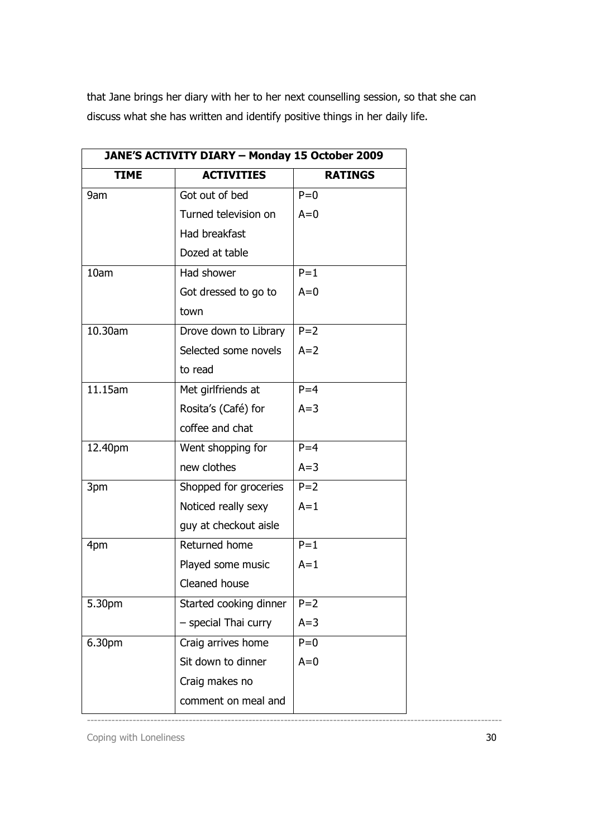that Jane brings her diary with her to her next counselling session, so that she can discuss what she has written and identify positive things in her daily life.

| JANE'S ACTIVITY DIARY - Monday 15 October 2009 |                        |                |  |  |
|------------------------------------------------|------------------------|----------------|--|--|
| <b>TIME</b>                                    | <b>ACTIVITIES</b>      | <b>RATINGS</b> |  |  |
| 9am                                            | Got out of bed         | $P=0$          |  |  |
|                                                | Turned television on   | $A=0$          |  |  |
|                                                | Had breakfast          |                |  |  |
|                                                | Dozed at table         |                |  |  |
| 10am                                           | Had shower             | $P = 1$        |  |  |
|                                                | Got dressed to go to   | $A=0$          |  |  |
|                                                | town                   |                |  |  |
| 10.30am                                        | Drove down to Library  | $P = 2$        |  |  |
|                                                | Selected some novels   | $A=2$          |  |  |
|                                                | to read                |                |  |  |
| 11.15am                                        | Met girlfriends at     | $P = 4$        |  |  |
|                                                | Rosita's (Café) for    | $A=3$          |  |  |
|                                                | coffee and chat        |                |  |  |
| 12.40pm                                        | Went shopping for      | $P = 4$        |  |  |
|                                                | new clothes            | $A=3$          |  |  |
| 3pm                                            | Shopped for groceries  | $P = 2$        |  |  |
|                                                | Noticed really sexy    | $A=1$          |  |  |
|                                                | guy at checkout aisle  |                |  |  |
| 4pm                                            | Returned home          | $P=1$          |  |  |
|                                                | Played some music      | $A=1$          |  |  |
|                                                | Cleaned house          |                |  |  |
| 5.30pm                                         | Started cooking dinner | $P=2$          |  |  |
|                                                | - special Thai curry   | $A=3$          |  |  |
| 6.30pm                                         | Craig arrives home     | $P=0$          |  |  |
|                                                | Sit down to dinner     | $A=0$          |  |  |
|                                                | Craig makes no         |                |  |  |
|                                                | comment on meal and    |                |  |  |

----------------------------------------------------------------------------------------------------------------------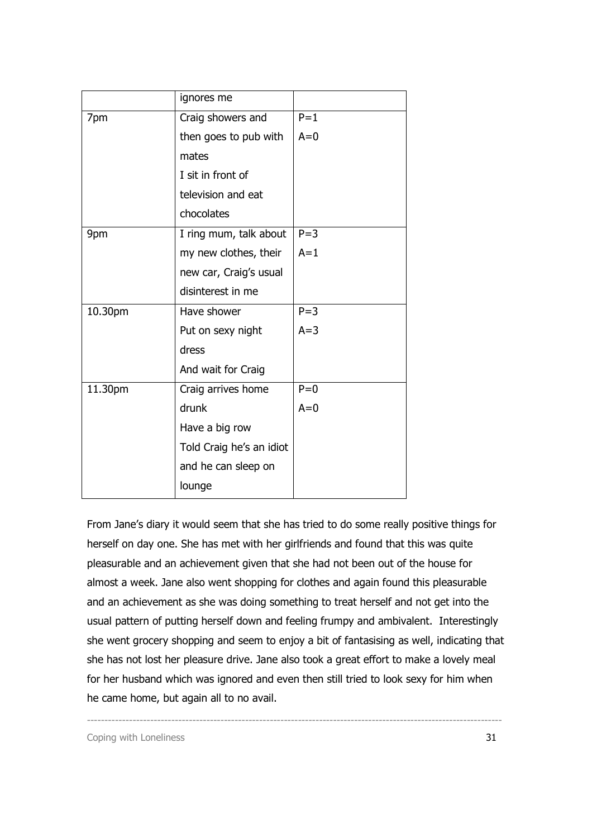|         | ignores me               |         |
|---------|--------------------------|---------|
| 7pm     | Craig showers and        | $P=1$   |
|         | then goes to pub with    | $A=0$   |
|         | mates                    |         |
|         | I sit in front of        |         |
|         | television and eat       |         |
|         | chocolates               |         |
| 9pm     | I ring mum, talk about   | $P = 3$ |
|         | my new clothes, their    | $A=1$   |
|         | new car, Craig's usual   |         |
|         | disinterest in me        |         |
| 10.30pm | Have shower              | $P = 3$ |
|         | Put on sexy night        | $A=3$   |
|         | dress                    |         |
|         | And wait for Craig       |         |
| 11.30pm | Craig arrives home       | $P=0$   |
|         | drunk                    | $A=0$   |
|         | Have a big row           |         |
|         | Told Craig he's an idiot |         |
|         | and he can sleep on      |         |
|         | lounge                   |         |

From Jane's diary it would seem that she has tried to do some really positive things for herself on day one. She has met with her girlfriends and found that this was quite pleasurable and an achievement given that she had not been out of the house for almost a week. Jane also went shopping for clothes and again found this pleasurable and an achievement as she was doing something to treat herself and not get into the usual pattern of putting herself down and feeling frumpy and ambivalent. Interestingly she went grocery shopping and seem to enjoy a bit of fantasising as well, indicating that she has not lost her pleasure drive. Jane also took a great effort to make a lovely meal for her husband which was ignored and even then still tried to look sexy for him when he came home, but again all to no avail.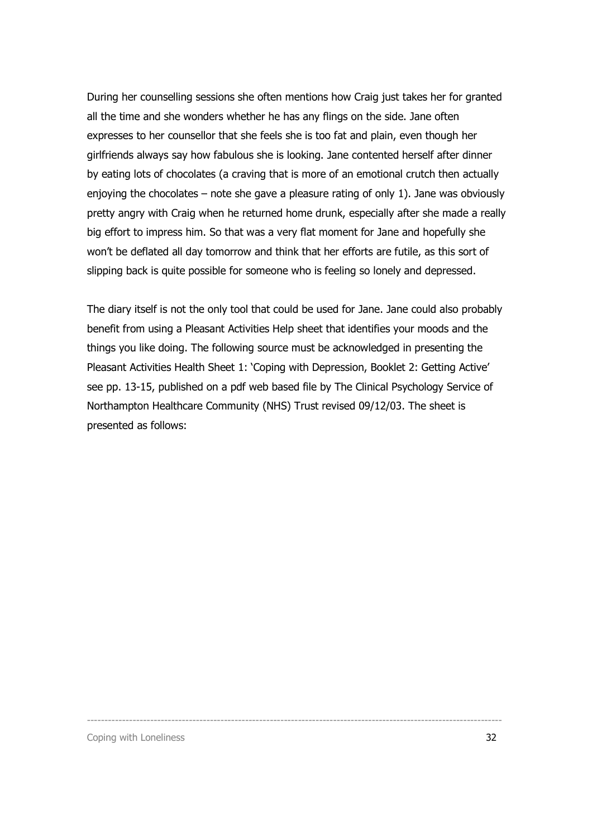During her counselling sessions she often mentions how Craig just takes her for granted all the time and she wonders whether he has any flings on the side. Jane often expresses to her counsellor that she feels she is too fat and plain, even though her girlfriends always say how fabulous she is looking. Jane contented herself after dinner by eating lots of chocolates (a craving that is more of an emotional crutch then actually enjoying the chocolates – note she gave a pleasure rating of only 1). Jane was obviously pretty angry with Craig when he returned home drunk, especially after she made a really big effort to impress him. So that was a very flat moment for Jane and hopefully she won't be deflated all day tomorrow and think that her efforts are futile, as this sort of slipping back is quite possible for someone who is feeling so lonely and depressed.

The diary itself is not the only tool that could be used for Jane. Jane could also probably benefit from using a Pleasant Activities Help sheet that identifies your moods and the things you like doing. The following source must be acknowledged in presenting the Pleasant Activities Health Sheet 1: 'Coping with Depression, Booklet 2: Getting Active' see pp. 13-15, published on a pdf web based file by The Clinical Psychology Service of Northampton Healthcare Community (NHS) Trust revised 09/12/03. The sheet is presented as follows: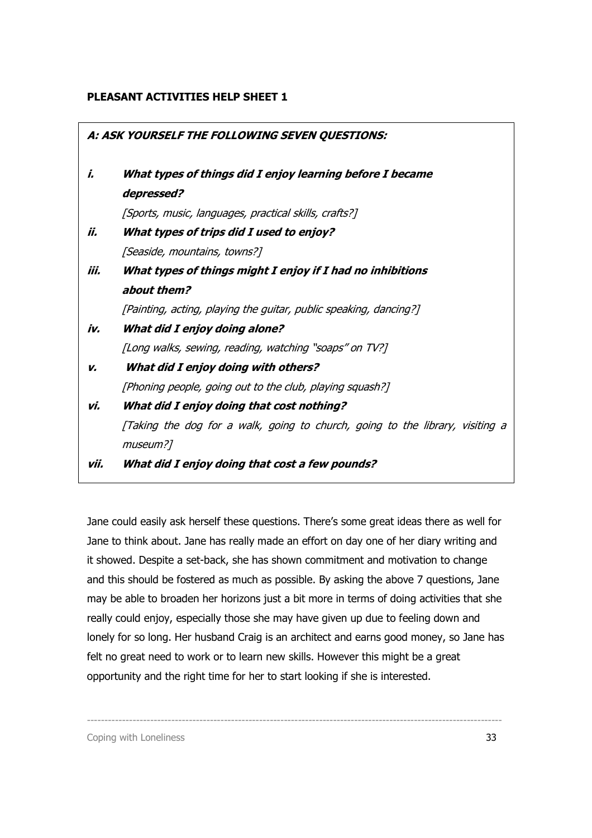#### PLEASANT ACTIVITIES HELP SHEET 1

|      | A: ASK YOURSELF THE FOLLOWING SEVEN QUESTIONS:                                |
|------|-------------------------------------------------------------------------------|
| i.   | What types of things did I enjoy learning before I became                     |
|      | depressed?                                                                    |
|      | [Sports, music, languages, practical skills, crafts?]                         |
| ii.  | What types of trips did I used to enjoy?                                      |
|      | [Seaside, mountains, towns?]                                                  |
| iii. | What types of things might I enjoy if I had no inhibitions                    |
|      | about them?                                                                   |
|      | [Painting, acting, playing the guitar, public speaking, dancing?]             |
| iv.  | What did I enjoy doing alone?                                                 |
|      | [Long walks, sewing, reading, watching "soaps" on TV?]                        |
| ν.   | What did I enjoy doing with others?                                           |
|      | [Phoning people, going out to the club, playing squash?]                      |
| vi.  | What did I enjoy doing that cost nothing?                                     |
|      | [Taking the dog for a walk, going to church, going to the library, visiting a |
|      | museum?]                                                                      |
| vii. | What did I enjoy doing that cost a few pounds?                                |

Jane could easily ask herself these questions. There's some great ideas there as well for Jane to think about. Jane has really made an effort on day one of her diary writing and it showed. Despite a set-back, she has shown commitment and motivation to change and this should be fostered as much as possible. By asking the above 7 questions, Jane may be able to broaden her horizons just a bit more in terms of doing activities that she really could enjoy, especially those she may have given up due to feeling down and lonely for so long. Her husband Craig is an architect and earns good money, so Jane has felt no great need to work or to learn new skills. However this might be a great opportunity and the right time for her to start looking if she is interested.

----------------------------------------------------------------------------------------------------------------------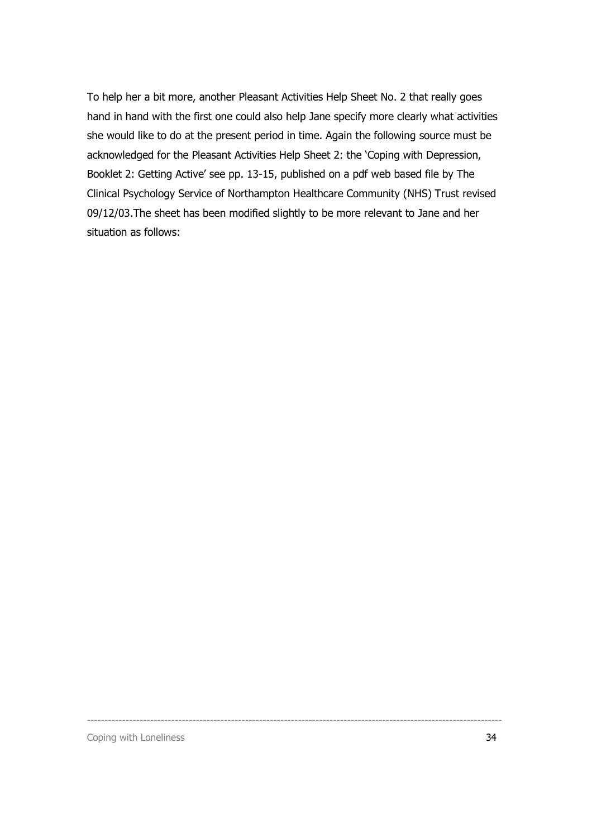To help her a bit more, another Pleasant Activities Help Sheet No. 2 that really goes hand in hand with the first one could also help Jane specify more clearly what activities she would like to do at the present period in time. Again the following source must be acknowledged for the Pleasant Activities Help Sheet 2: the 'Coping with Depression, Booklet 2: Getting Active' see pp. 13-15, published on a pdf web based file by The Clinical Psychology Service of Northampton Healthcare Community (NHS) Trust revised 09/12/03.The sheet has been modified slightly to be more relevant to Jane and her situation as follows:

----------------------------------------------------------------------------------------------------------------------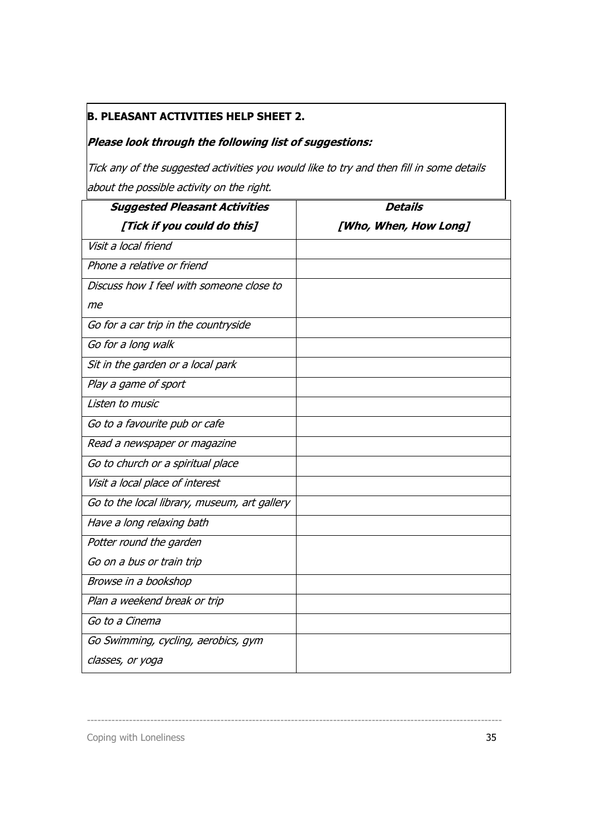## B. PLEASANT ACTIVITIES HELP SHEET 2.

## Please look through the following list of suggestions:

 $|$ Tick any of the suggested activities you would like to try and then fill in some details about the possible activity on the right.

| <b>Suggested Pleasant Activities</b>         | <b>Details</b>        |
|----------------------------------------------|-----------------------|
| [Tick if you could do this]                  | [Who, When, How Long] |
| Visit a local friend                         |                       |
| Phone a relative or friend                   |                       |
| Discuss how I feel with someone close to     |                       |
| me                                           |                       |
| Go for a car trip in the countryside         |                       |
| Go for a long walk                           |                       |
| Sit in the garden or a local park            |                       |
| Play a game of sport                         |                       |
| Listen to music                              |                       |
| Go to a favourite pub or cafe                |                       |
| Read a newspaper or magazine                 |                       |
| Go to church or a spiritual place            |                       |
| Visit a local place of interest              |                       |
| Go to the local library, museum, art gallery |                       |
| Have a long relaxing bath                    |                       |
| Potter round the garden                      |                       |
| Go on a bus or train trip                    |                       |
| Browse in a bookshop                         |                       |
| Plan a weekend break or trip                 |                       |
| Go to a Cinema                               |                       |
| Go Swimming, cycling, aerobics, gym          |                       |
| classes, or yoga                             |                       |

----------------------------------------------------------------------------------------------------------------------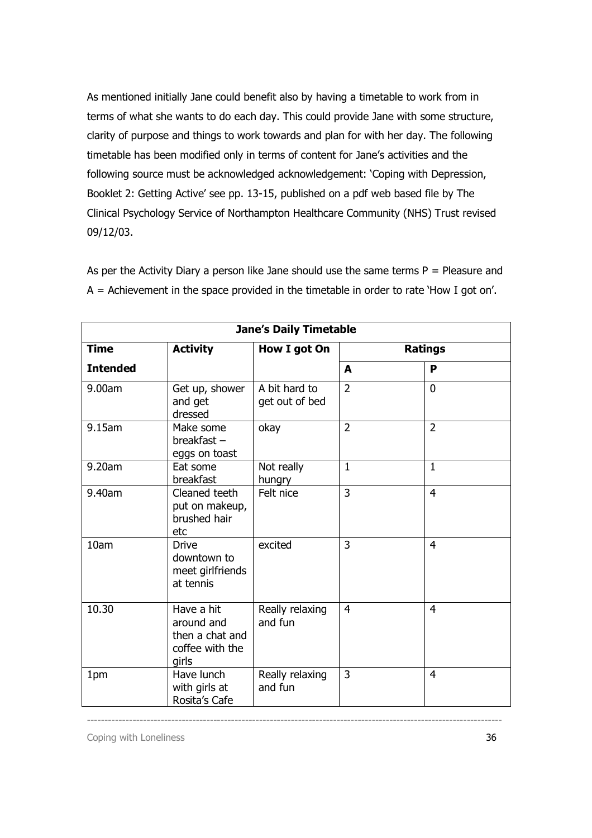As mentioned initially Jane could benefit also by having a timetable to work from in terms of what she wants to do each day. This could provide Jane with some structure, clarity of purpose and things to work towards and plan for with her day. The following timetable has been modified only in terms of content for Jane's activities and the following source must be acknowledged acknowledgement: 'Coping with Depression, Booklet 2: Getting Active' see pp. 13-15, published on a pdf web based file by The Clinical Psychology Service of Northampton Healthcare Community (NHS) Trust revised 09/12/03.

As per the Activity Diary a person like Jane should use the same terms  $P = P$ leasure and  $A =$  Achievement in the space provided in the timetable in order to rate 'How I got on'.

| <b>Jane's Daily Timetable</b> |                                                                         |                                 |                |                |  |  |  |
|-------------------------------|-------------------------------------------------------------------------|---------------------------------|----------------|----------------|--|--|--|
| <b>Time</b>                   | <b>Activity</b>                                                         | How I got On                    |                | Ratings        |  |  |  |
| <b>Intended</b>               |                                                                         |                                 | A              | P              |  |  |  |
| 9.00am                        | Get up, shower<br>and get<br>dressed                                    | A bit hard to<br>get out of bed | $\overline{2}$ | $\mathbf{0}$   |  |  |  |
| 9.15am                        | Make some<br>breakfast-<br>eggs on toast                                | okay                            | $\overline{2}$ | $\overline{2}$ |  |  |  |
| 9.20am                        | Eat some<br>breakfast                                                   | Not really<br>hungry            | $\mathbf{1}$   | $\mathbf{1}$   |  |  |  |
| 9.40am                        | Cleaned teeth<br>put on makeup,<br>brushed hair<br>etc                  | Felt nice                       | $\overline{3}$ | $\overline{4}$ |  |  |  |
| 10am                          | <b>Drive</b><br>downtown to<br>meet girlfriends<br>at tennis            | excited                         | $\overline{3}$ | $\overline{4}$ |  |  |  |
| 10.30                         | Have a hit<br>around and<br>then a chat and<br>coffee with the<br>girls | Really relaxing<br>and fun      | 4              | 4              |  |  |  |
| 1pm                           | Have lunch<br>with girls at<br>Rosita's Cafe                            | Really relaxing<br>and fun      | 3              | $\overline{4}$ |  |  |  |

----------------------------------------------------------------------------------------------------------------------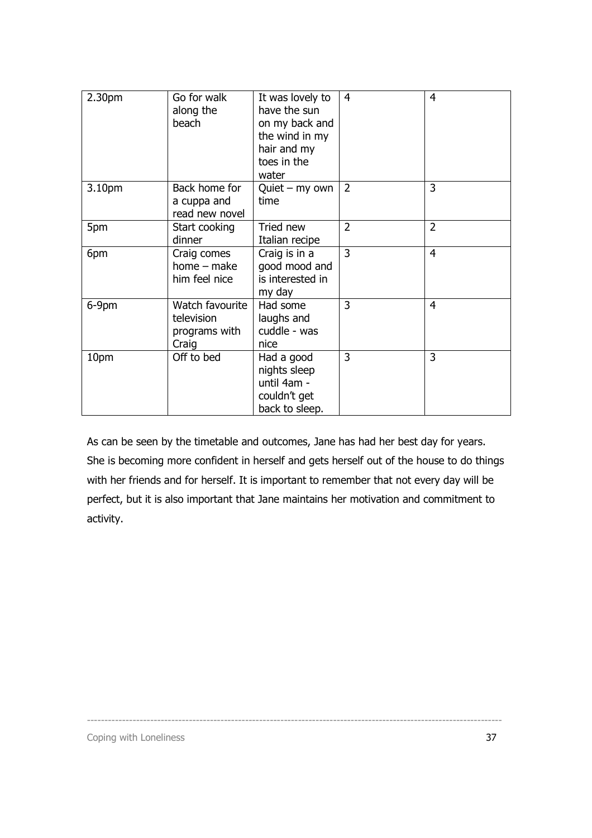| 2.30pm | Go for walk<br>along the<br>beach                       | It was lovely to<br>have the sun<br>on my back and<br>the wind in my<br>hair and my<br>toes in the<br>water | $\overline{4}$ | $\overline{4}$ |
|--------|---------------------------------------------------------|-------------------------------------------------------------------------------------------------------------|----------------|----------------|
| 3.10pm | Back home for<br>a cuppa and<br>read new novel          | $Quiet - my own$<br>time                                                                                    | $\overline{2}$ | 3              |
| 5pm    | Start cooking<br>dinner                                 | Tried new<br>Italian recipe                                                                                 | $\overline{2}$ | $\overline{2}$ |
| 6pm    | Craig comes<br>home – make<br>him feel nice             | Craig is in a<br>good mood and<br>is interested in<br>my day                                                | 3              | $\overline{4}$ |
| 6-9pm  | Watch favourite<br>television<br>programs with<br>Craig | Had some<br>laughs and<br>cuddle - was<br>nice                                                              | 3              | 4              |
| 10pm   | Off to bed                                              | Had a good<br>nights sleep<br>until 4am -<br>couldn't get<br>back to sleep.                                 | 3              | 3              |

As can be seen by the timetable and outcomes, Jane has had her best day for years. She is becoming more confident in herself and gets herself out of the house to do things with her friends and for herself. It is important to remember that not every day will be perfect, but it is also important that Jane maintains her motivation and commitment to activity.

----------------------------------------------------------------------------------------------------------------------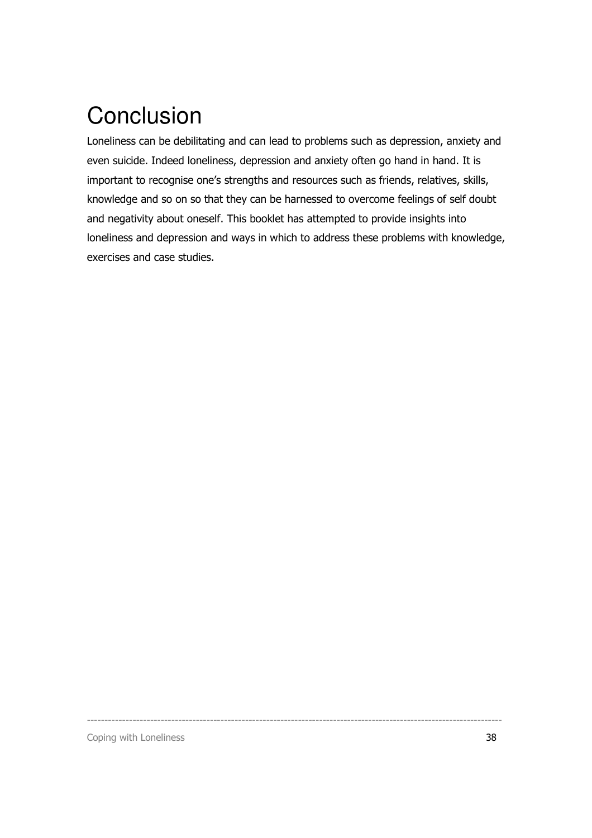## **Conclusion**

Loneliness can be debilitating and can lead to problems such as depression, anxiety and even suicide. Indeed loneliness, depression and anxiety often go hand in hand. It is important to recognise one's strengths and resources such as friends, relatives, skills, knowledge and so on so that they can be harnessed to overcome feelings of self doubt and negativity about oneself. This booklet has attempted to provide insights into loneliness and depression and ways in which to address these problems with knowledge, exercises and case studies.